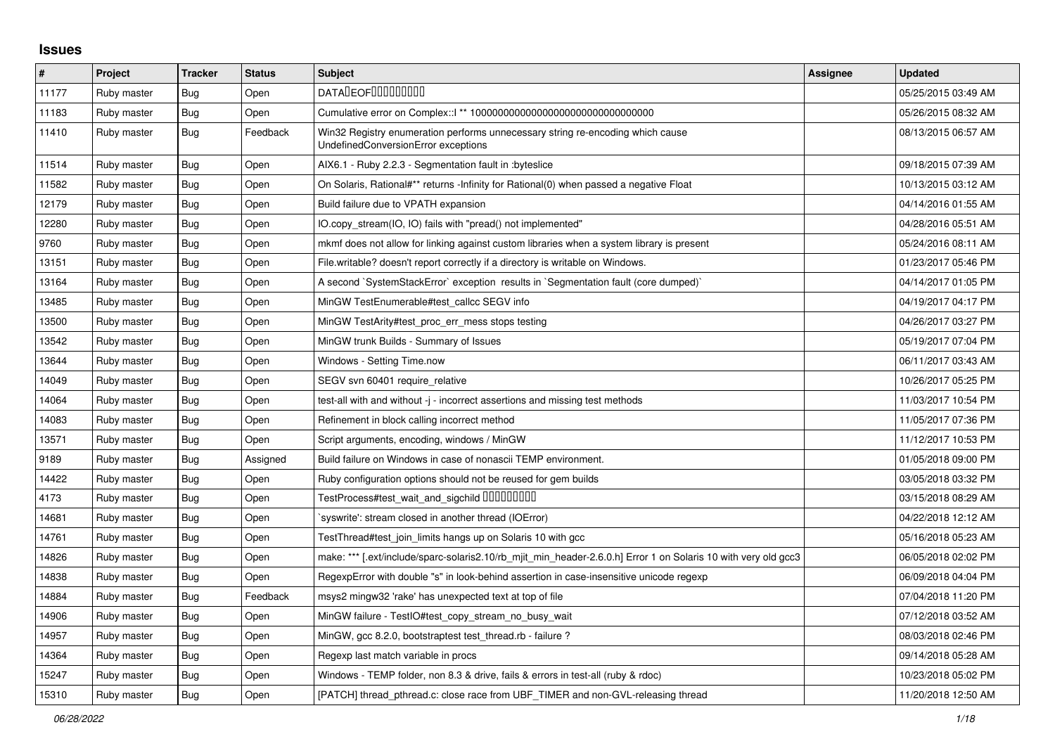## **Issues**

| #     | <b>Project</b> | <b>Tracker</b> | <b>Status</b> | <b>Subject</b>                                                                                                        | Assignee | <b>Updated</b>      |
|-------|----------------|----------------|---------------|-----------------------------------------------------------------------------------------------------------------------|----------|---------------------|
| 11177 | Ruby master    | Bug            | Open          | <b>DATALEOFILILILILILI</b>                                                                                            |          | 05/25/2015 03:49 AM |
| 11183 | Ruby master    | Bug            | Open          |                                                                                                                       |          | 05/26/2015 08:32 AM |
| 11410 | Ruby master    | Bug            | Feedback      | Win32 Registry enumeration performs unnecessary string re-encoding which cause<br>UndefinedConversionError exceptions |          | 08/13/2015 06:57 AM |
| 11514 | Ruby master    | Bug            | Open          | AIX6.1 - Ruby 2.2.3 - Segmentation fault in :byteslice                                                                |          | 09/18/2015 07:39 AM |
| 11582 | Ruby master    | Bug            | Open          | On Solaris, Rational#** returns -Infinity for Rational(0) when passed a negative Float                                |          | 10/13/2015 03:12 AM |
| 12179 | Ruby master    | Bug            | Open          | Build failure due to VPATH expansion                                                                                  |          | 04/14/2016 01:55 AM |
| 12280 | Ruby master    | Bug            | Open          | IO.copy stream(IO, IO) fails with "pread() not implemented"                                                           |          | 04/28/2016 05:51 AM |
| 9760  | Ruby master    | Bug            | Open          | mkmf does not allow for linking against custom libraries when a system library is present                             |          | 05/24/2016 08:11 AM |
| 13151 | Ruby master    | Bug            | Open          | File writable? doesn't report correctly if a directory is writable on Windows.                                        |          | 01/23/2017 05:46 PM |
| 13164 | Ruby master    | Bug            | Open          | A second `SystemStackError` exception results in `Segmentation fault (core dumped)`                                   |          | 04/14/2017 01:05 PM |
| 13485 | Ruby master    | Bug            | Open          | MinGW TestEnumerable#test callcc SEGV info                                                                            |          | 04/19/2017 04:17 PM |
| 13500 | Ruby master    | Bug            | Open          | MinGW TestArity#test_proc_err_mess stops testing                                                                      |          | 04/26/2017 03:27 PM |
| 13542 | Ruby master    | <b>Bug</b>     | Open          | MinGW trunk Builds - Summary of Issues                                                                                |          | 05/19/2017 07:04 PM |
| 13644 | Ruby master    | Bug            | Open          | Windows - Setting Time.now                                                                                            |          | 06/11/2017 03:43 AM |
| 14049 | Ruby master    | Bug            | Open          | SEGV svn 60401 require relative                                                                                       |          | 10/26/2017 05:25 PM |
| 14064 | Ruby master    | Bug            | Open          | test-all with and without -j - incorrect assertions and missing test methods                                          |          | 11/03/2017 10:54 PM |
| 14083 | Ruby master    | Bug            | Open          | Refinement in block calling incorrect method                                                                          |          | 11/05/2017 07:36 PM |
| 13571 | Ruby master    | Bug            | Open          | Script arguments, encoding, windows / MinGW                                                                           |          | 11/12/2017 10:53 PM |
| 9189  | Ruby master    | Bug            | Assigned      | Build failure on Windows in case of nonascii TEMP environment.                                                        |          | 01/05/2018 09:00 PM |
| 14422 | Ruby master    | <b>Bug</b>     | Open          | Ruby configuration options should not be reused for gem builds                                                        |          | 03/05/2018 03:32 PM |
| 4173  | Ruby master    | Bug            | Open          | TestProcess#test_wait_and_sigchild DDDDDDDD                                                                           |          | 03/15/2018 08:29 AM |
| 14681 | Ruby master    | Bug            | Open          | 'syswrite': stream closed in another thread (IOError)                                                                 |          | 04/22/2018 12:12 AM |
| 14761 | Ruby master    | Bug            | Open          | TestThread#test_join_limits hangs up on Solaris 10 with gcc                                                           |          | 05/16/2018 05:23 AM |
| 14826 | Ruby master    | Bug            | Open          | make: *** [.ext/include/sparc-solaris2.10/rb_mjit_min_header-2.6.0.h] Error 1 on Solaris 10 with very old gcc3        |          | 06/05/2018 02:02 PM |
| 14838 | Ruby master    | Bug            | Open          | RegexpError with double "s" in look-behind assertion in case-insensitive unicode regexp                               |          | 06/09/2018 04:04 PM |
| 14884 | Ruby master    | Bug            | Feedback      | msys2 mingw32 'rake' has unexpected text at top of file                                                               |          | 07/04/2018 11:20 PM |
| 14906 | Ruby master    | <b>Bug</b>     | Open          | MinGW failure - TestIO#test_copy_stream_no_busy_wait                                                                  |          | 07/12/2018 03:52 AM |
| 14957 | Ruby master    | Bug            | Open          | MinGW, gcc 8.2.0, bootstraptest test thread.rb - failure?                                                             |          | 08/03/2018 02:46 PM |
| 14364 | Ruby master    | Bug            | Open          | Regexp last match variable in procs                                                                                   |          | 09/14/2018 05:28 AM |
| 15247 | Ruby master    | Bug            | Open          | Windows - TEMP folder, non 8.3 & drive, fails & errors in test-all (ruby & rdoc)                                      |          | 10/23/2018 05:02 PM |
| 15310 | Ruby master    | Bug            | Open          | [PATCH] thread_pthread.c: close race from UBF_TIMER and non-GVL-releasing thread                                      |          | 11/20/2018 12:50 AM |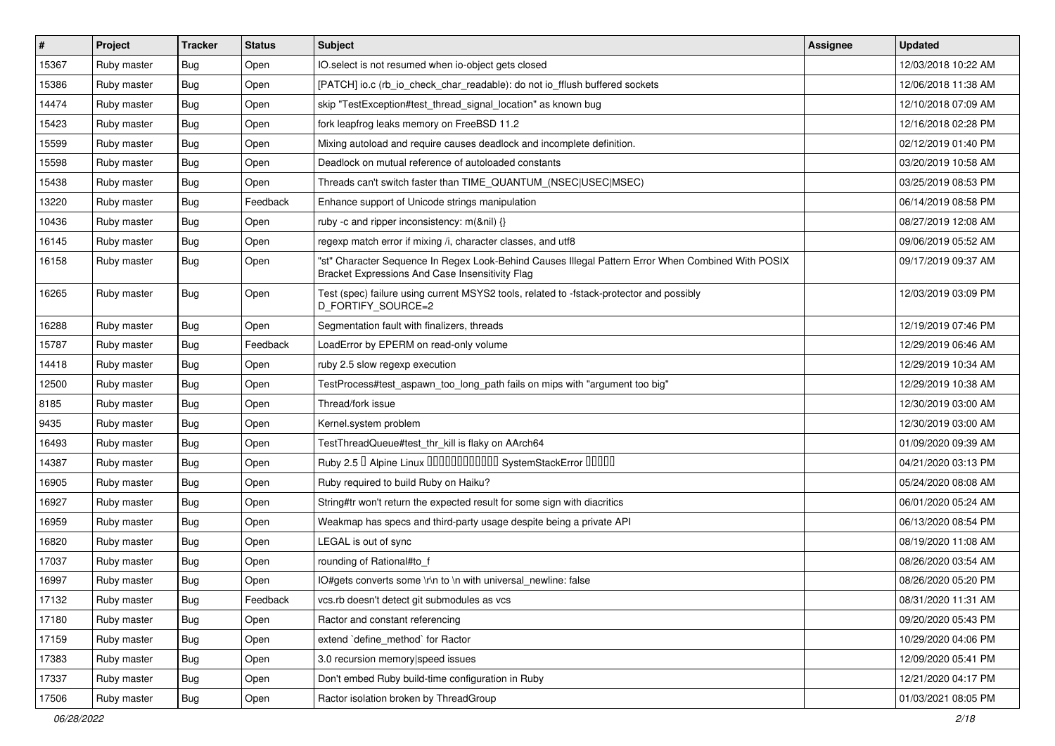| $\vert$ # | Project     | <b>Tracker</b> | <b>Status</b> | Subject                                                                                                                                               | Assignee | <b>Updated</b>      |
|-----------|-------------|----------------|---------------|-------------------------------------------------------------------------------------------------------------------------------------------------------|----------|---------------------|
| 15367     | Ruby master | Bug            | Open          | IO.select is not resumed when io-object gets closed                                                                                                   |          | 12/03/2018 10:22 AM |
| 15386     | Ruby master | Bug            | Open          | [PATCH] io.c (rb_io_check_char_readable): do not io_fflush buffered sockets                                                                           |          | 12/06/2018 11:38 AM |
| 14474     | Ruby master | Bug            | Open          | skip "TestException#test thread signal location" as known bug                                                                                         |          | 12/10/2018 07:09 AM |
| 15423     | Ruby master | Bug            | Open          | fork leapfrog leaks memory on FreeBSD 11.2                                                                                                            |          | 12/16/2018 02:28 PM |
| 15599     | Ruby master | Bug            | Open          | Mixing autoload and require causes deadlock and incomplete definition.                                                                                |          | 02/12/2019 01:40 PM |
| 15598     | Ruby master | Bug            | Open          | Deadlock on mutual reference of autoloaded constants                                                                                                  |          | 03/20/2019 10:58 AM |
| 15438     | Ruby master | Bug            | Open          | Threads can't switch faster than TIME_QUANTUM_(NSEC USEC MSEC)                                                                                        |          | 03/25/2019 08:53 PM |
| 13220     | Ruby master | Bug            | Feedback      | Enhance support of Unicode strings manipulation                                                                                                       |          | 06/14/2019 08:58 PM |
| 10436     | Ruby master | Bug            | Open          | ruby -c and ripper inconsistency: m(&nil) {}                                                                                                          |          | 08/27/2019 12:08 AM |
| 16145     | Ruby master | Bug            | Open          | regexp match error if mixing /i, character classes, and utf8                                                                                          |          | 09/06/2019 05:52 AM |
| 16158     | Ruby master | Bug            | Open          | "st" Character Sequence In Regex Look-Behind Causes Illegal Pattern Error When Combined With POSIX<br>Bracket Expressions And Case Insensitivity Flag |          | 09/17/2019 09:37 AM |
| 16265     | Ruby master | Bug            | Open          | Test (spec) failure using current MSYS2 tools, related to -fstack-protector and possibly<br>D_FORTIFY_SOURCE=2                                        |          | 12/03/2019 03:09 PM |
| 16288     | Ruby master | Bug            | Open          | Segmentation fault with finalizers, threads                                                                                                           |          | 12/19/2019 07:46 PM |
| 15787     | Ruby master | Bug            | Feedback      | LoadError by EPERM on read-only volume                                                                                                                |          | 12/29/2019 06:46 AM |
| 14418     | Ruby master | Bug            | Open          | ruby 2.5 slow regexp execution                                                                                                                        |          | 12/29/2019 10:34 AM |
| 12500     | Ruby master | Bug            | Open          | TestProcess#test_aspawn_too_long_path fails on mips with "argument too big"                                                                           |          | 12/29/2019 10:38 AM |
| 8185      | Ruby master | Bug            | Open          | Thread/fork issue                                                                                                                                     |          | 12/30/2019 03:00 AM |
| 9435      | Ruby master | Bug            | Open          | Kernel.system problem                                                                                                                                 |          | 12/30/2019 03:00 AM |
| 16493     | Ruby master | <b>Bug</b>     | Open          | TestThreadQueue#test_thr_kill is flaky on AArch64                                                                                                     |          | 01/09/2020 09:39 AM |
| 14387     | Ruby master | Bug            | Open          | Ruby 2.5 <sup>D</sup> Alpine Linux 000000000000 SystemStackError 00000                                                                                |          | 04/21/2020 03:13 PM |
| 16905     | Ruby master | Bug            | Open          | Ruby required to build Ruby on Haiku?                                                                                                                 |          | 05/24/2020 08:08 AM |
| 16927     | Ruby master | Bug            | Open          | String#tr won't return the expected result for some sign with diacritics                                                                              |          | 06/01/2020 05:24 AM |
| 16959     | Ruby master | Bug            | Open          | Weakmap has specs and third-party usage despite being a private API                                                                                   |          | 06/13/2020 08:54 PM |
| 16820     | Ruby master | Bug            | Open          | LEGAL is out of sync                                                                                                                                  |          | 08/19/2020 11:08 AM |
| 17037     | Ruby master | Bug            | Open          | rounding of Rational#to_f                                                                                                                             |          | 08/26/2020 03:54 AM |
| 16997     | Ruby master | <b>Bug</b>     | Open          | IO#gets converts some \r\n to \n with universal newline: false                                                                                        |          | 08/26/2020 05:20 PM |
| 17132     | Ruby master | <b>Bug</b>     | Feedback      | vcs.rb doesn't detect git submodules as vcs                                                                                                           |          | 08/31/2020 11:31 AM |
| 17180     | Ruby master | <b>Bug</b>     | Open          | Ractor and constant referencing                                                                                                                       |          | 09/20/2020 05:43 PM |
| 17159     | Ruby master | <b>Bug</b>     | Open          | extend 'define method' for Ractor                                                                                                                     |          | 10/29/2020 04:06 PM |
| 17383     | Ruby master | <b>Bug</b>     | Open          | 3.0 recursion memory speed issues                                                                                                                     |          | 12/09/2020 05:41 PM |
| 17337     | Ruby master | <b>Bug</b>     | Open          | Don't embed Ruby build-time configuration in Ruby                                                                                                     |          | 12/21/2020 04:17 PM |
| 17506     | Ruby master | <b>Bug</b>     | Open          | Ractor isolation broken by ThreadGroup                                                                                                                |          | 01/03/2021 08:05 PM |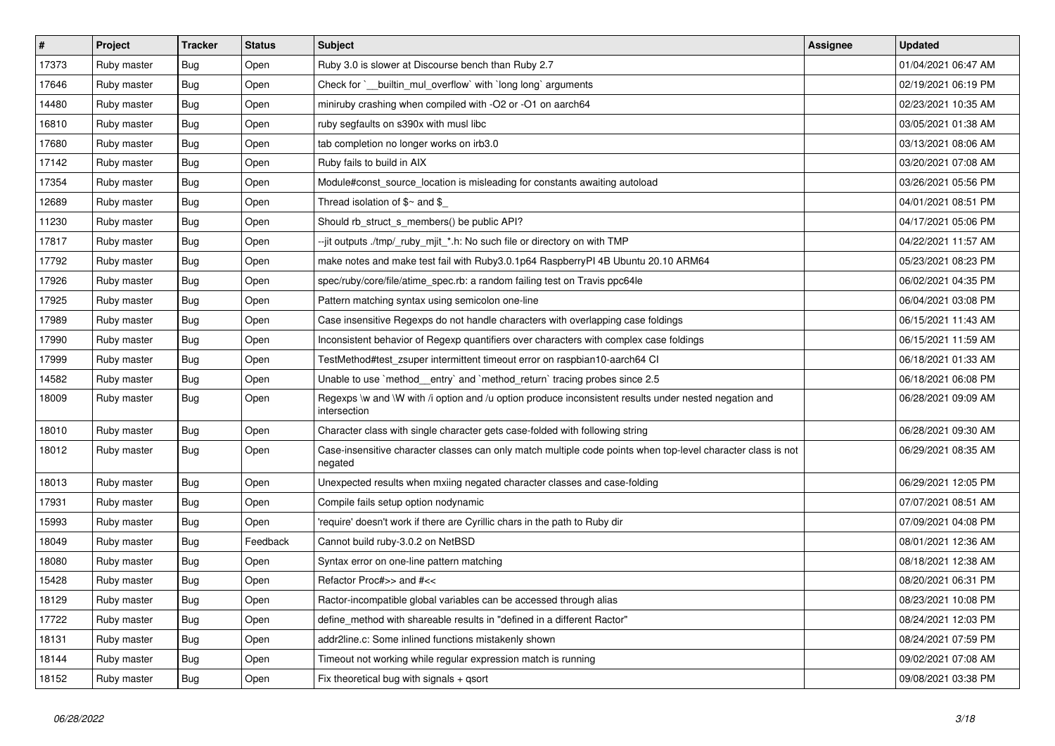| $\vert$ # | Project     | <b>Tracker</b> | <b>Status</b> | <b>Subject</b>                                                                                                          | <b>Assignee</b> | <b>Updated</b>      |
|-----------|-------------|----------------|---------------|-------------------------------------------------------------------------------------------------------------------------|-----------------|---------------------|
| 17373     | Ruby master | Bug            | Open          | Ruby 3.0 is slower at Discourse bench than Ruby 2.7                                                                     |                 | 01/04/2021 06:47 AM |
| 17646     | Ruby master | Bug            | Open          | Check for ` builtin mul overflow with long long arguments                                                               |                 | 02/19/2021 06:19 PM |
| 14480     | Ruby master | Bug            | Open          | miniruby crashing when compiled with -O2 or -O1 on aarch64                                                              |                 | 02/23/2021 10:35 AM |
| 16810     | Ruby master | <b>Bug</b>     | Open          | ruby segfaults on s390x with musl libc                                                                                  |                 | 03/05/2021 01:38 AM |
| 17680     | Ruby master | <b>Bug</b>     | Open          | tab completion no longer works on irb3.0                                                                                |                 | 03/13/2021 08:06 AM |
| 17142     | Ruby master | <b>Bug</b>     | Open          | Ruby fails to build in AIX                                                                                              |                 | 03/20/2021 07:08 AM |
| 17354     | Ruby master | <b>Bug</b>     | Open          | Module#const_source_location is misleading for constants awaiting autoload                                              |                 | 03/26/2021 05:56 PM |
| 12689     | Ruby master | Bug            | Open          | Thread isolation of $\frac{6}{3}$ and $\frac{6}{3}$                                                                     |                 | 04/01/2021 08:51 PM |
| 11230     | Ruby master | <b>Bug</b>     | Open          | Should rb_struct_s_members() be public API?                                                                             |                 | 04/17/2021 05:06 PM |
| 17817     | Ruby master | Bug            | Open          | --jit outputs ./tmp/_ruby_mjit_*.h: No such file or directory on with TMP                                               |                 | 04/22/2021 11:57 AM |
| 17792     | Ruby master | Bug            | Open          | make notes and make test fail with Ruby3.0.1p64 RaspberryPI 4B Ubuntu 20.10 ARM64                                       |                 | 05/23/2021 08:23 PM |
| 17926     | Ruby master | <b>Bug</b>     | Open          | spec/ruby/core/file/atime_spec.rb: a random failing test on Travis ppc64le                                              |                 | 06/02/2021 04:35 PM |
| 17925     | Ruby master | Bug            | Open          | Pattern matching syntax using semicolon one-line                                                                        |                 | 06/04/2021 03:08 PM |
| 17989     | Ruby master | <b>Bug</b>     | Open          | Case insensitive Regexps do not handle characters with overlapping case foldings                                        |                 | 06/15/2021 11:43 AM |
| 17990     | Ruby master | Bug            | Open          | Inconsistent behavior of Regexp quantifiers over characters with complex case foldings                                  |                 | 06/15/2021 11:59 AM |
| 17999     | Ruby master | Bug            | Open          | TestMethod#test_zsuper intermittent timeout error on raspbian10-aarch64 Cl                                              |                 | 06/18/2021 01:33 AM |
| 14582     | Ruby master | <b>Bug</b>     | Open          | Unable to use `method__entry` and `method_return` tracing probes since 2.5                                              |                 | 06/18/2021 06:08 PM |
| 18009     | Ruby master | Bug            | Open          | Regexps \w and \W with /i option and /u option produce inconsistent results under nested negation and<br>intersection   |                 | 06/28/2021 09:09 AM |
| 18010     | Ruby master | <b>Bug</b>     | Open          | Character class with single character gets case-folded with following string                                            |                 | 06/28/2021 09:30 AM |
| 18012     | Ruby master | Bug            | Open          | Case-insensitive character classes can only match multiple code points when top-level character class is not<br>negated |                 | 06/29/2021 08:35 AM |
| 18013     | Ruby master | <b>Bug</b>     | Open          | Unexpected results when mxiing negated character classes and case-folding                                               |                 | 06/29/2021 12:05 PM |
| 17931     | Ruby master | <b>Bug</b>     | Open          | Compile fails setup option nodynamic                                                                                    |                 | 07/07/2021 08:51 AM |
| 15993     | Ruby master | Bug            | Open          | require' doesn't work if there are Cyrillic chars in the path to Ruby dir                                               |                 | 07/09/2021 04:08 PM |
| 18049     | Ruby master | Bug            | Feedback      | Cannot build ruby-3.0.2 on NetBSD                                                                                       |                 | 08/01/2021 12:36 AM |
| 18080     | Ruby master | Bug            | Open          | Syntax error on one-line pattern matching                                                                               |                 | 08/18/2021 12:38 AM |
| 15428     | Ruby master | Bug            | Open          | Refactor Proc#>> and #<<                                                                                                |                 | 08/20/2021 06:31 PM |
| 18129     | Ruby master | <b>Bug</b>     | Open          | Ractor-incompatible global variables can be accessed through alias                                                      |                 | 08/23/2021 10:08 PM |
| 17722     | Ruby master | <b>Bug</b>     | Open          | define method with shareable results in "defined in a different Ractor"                                                 |                 | 08/24/2021 12:03 PM |
| 18131     | Ruby master | Bug            | Open          | addr2line.c: Some inlined functions mistakenly shown                                                                    |                 | 08/24/2021 07:59 PM |
| 18144     | Ruby master | <b>Bug</b>     | Open          | Timeout not working while regular expression match is running                                                           |                 | 09/02/2021 07:08 AM |
| 18152     | Ruby master | <b>Bug</b>     | Open          | Fix theoretical bug with signals $+$ qsort                                                                              |                 | 09/08/2021 03:38 PM |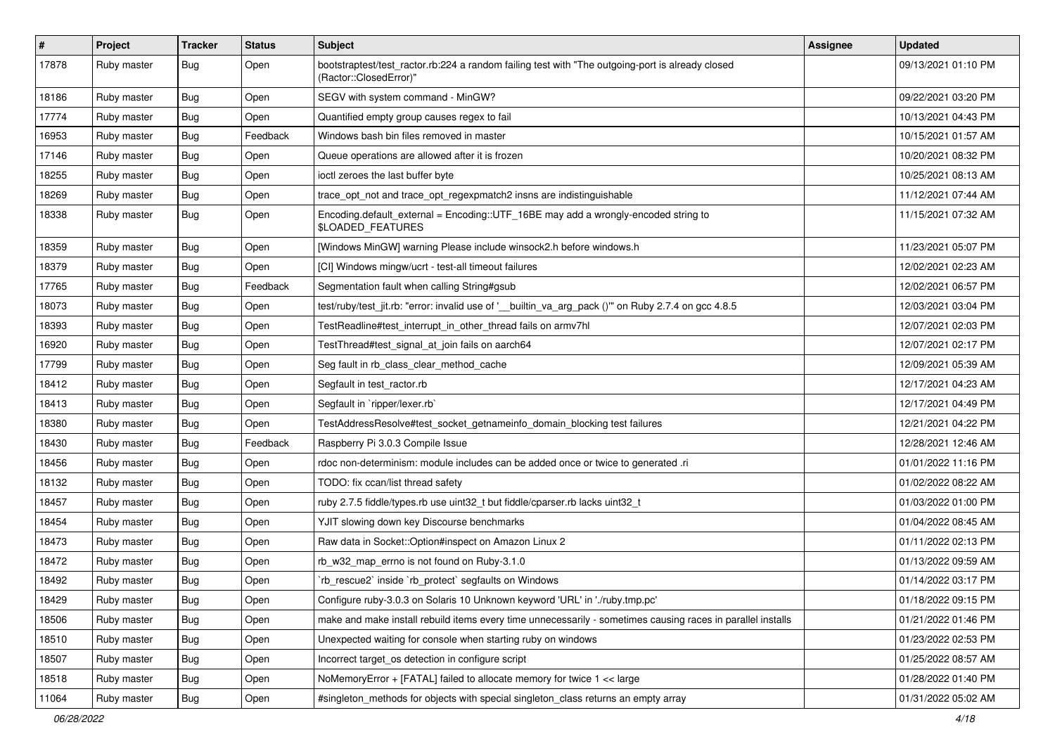| $\vert$ # | Project     | <b>Tracker</b> | <b>Status</b> | <b>Subject</b>                                                                                                             | Assignee | <b>Updated</b>      |
|-----------|-------------|----------------|---------------|----------------------------------------------------------------------------------------------------------------------------|----------|---------------------|
| 17878     | Ruby master | Bug            | Open          | bootstraptest/test_ractor.rb:224 a random failing test with "The outgoing-port is already closed<br>(Ractor::ClosedError)" |          | 09/13/2021 01:10 PM |
| 18186     | Ruby master | <b>Bug</b>     | Open          | SEGV with system command - MinGW?                                                                                          |          | 09/22/2021 03:20 PM |
| 17774     | Ruby master | Bug            | Open          | Quantified empty group causes regex to fail                                                                                |          | 10/13/2021 04:43 PM |
| 16953     | Ruby master | Bug            | Feedback      | Windows bash bin files removed in master                                                                                   |          | 10/15/2021 01:57 AM |
| 17146     | Ruby master | Bug            | Open          | Queue operations are allowed after it is frozen                                                                            |          | 10/20/2021 08:32 PM |
| 18255     | Ruby master | <b>Bug</b>     | Open          | ioctl zeroes the last buffer byte                                                                                          |          | 10/25/2021 08:13 AM |
| 18269     | Ruby master | Bug            | Open          | trace_opt_not and trace_opt_regexpmatch2 insns are indistinguishable                                                       |          | 11/12/2021 07:44 AM |
| 18338     | Ruby master | Bug            | Open          | Encoding.default_external = Encoding::UTF_16BE may add a wrongly-encoded string to<br>\$LOADED_FEATURES                    |          | 11/15/2021 07:32 AM |
| 18359     | Ruby master | <b>Bug</b>     | Open          | [Windows MinGW] warning Please include winsock2.h before windows.h                                                         |          | 11/23/2021 05:07 PM |
| 18379     | Ruby master | <b>Bug</b>     | Open          | [CI] Windows mingw/ucrt - test-all timeout failures                                                                        |          | 12/02/2021 02:23 AM |
| 17765     | Ruby master | Bug            | Feedback      | Segmentation fault when calling String#gsub                                                                                |          | 12/02/2021 06:57 PM |
| 18073     | Ruby master | <b>Bug</b>     | Open          | test/ruby/test_jit.rb: "error: invalid use of '_builtin_va_arg_pack ()" on Ruby 2.7.4 on gcc 4.8.5                         |          | 12/03/2021 03:04 PM |
| 18393     | Ruby master | <b>Bug</b>     | Open          | TestReadline#test_interrupt_in_other_thread fails on armv7hl                                                               |          | 12/07/2021 02:03 PM |
| 16920     | Ruby master | Bug            | Open          | TestThread#test_signal_at_join fails on aarch64                                                                            |          | 12/07/2021 02:17 PM |
| 17799     | Ruby master | Bug            | Open          | Seg fault in rb_class_clear_method_cache                                                                                   |          | 12/09/2021 05:39 AM |
| 18412     | Ruby master | Bug            | Open          | Segfault in test_ractor.rb                                                                                                 |          | 12/17/2021 04:23 AM |
| 18413     | Ruby master | <b>Bug</b>     | Open          | Segfault in `ripper/lexer.rb`                                                                                              |          | 12/17/2021 04:49 PM |
| 18380     | Ruby master | Bug            | Open          | TestAddressResolve#test_socket_getnameinfo_domain_blocking test failures                                                   |          | 12/21/2021 04:22 PM |
| 18430     | Ruby master | Bug            | Feedback      | Raspberry Pi 3.0.3 Compile Issue                                                                                           |          | 12/28/2021 12:46 AM |
| 18456     | Ruby master | <b>Bug</b>     | Open          | rdoc non-determinism: module includes can be added once or twice to generated .ri                                          |          | 01/01/2022 11:16 PM |
| 18132     | Ruby master | Bug            | Open          | TODO: fix ccan/list thread safety                                                                                          |          | 01/02/2022 08:22 AM |
| 18457     | Ruby master | Bug            | Open          | ruby 2.7.5 fiddle/types.rb use uint32_t but fiddle/cparser.rb lacks uint32_t                                               |          | 01/03/2022 01:00 PM |
| 18454     | Ruby master | <b>Bug</b>     | Open          | YJIT slowing down key Discourse benchmarks                                                                                 |          | 01/04/2022 08:45 AM |
| 18473     | Ruby master | Bug            | Open          | Raw data in Socket:: Option#inspect on Amazon Linux 2                                                                      |          | 01/11/2022 02:13 PM |
| 18472     | Ruby master | Bug            | Open          | rb_w32_map_errno is not found on Ruby-3.1.0                                                                                |          | 01/13/2022 09:59 AM |
| 18492     | Ruby master | <b>Bug</b>     | Open          | 'rb_rescue2' inside 'rb_protect' segfaults on Windows                                                                      |          | 01/14/2022 03:17 PM |
| 18429     | Ruby master | Bug            | Open          | Configure ruby-3.0.3 on Solaris 10 Unknown keyword 'URL' in './ruby.tmp.pc'                                                |          | 01/18/2022 09:15 PM |
| 18506     | Ruby master | <b>Bug</b>     | Open          | make and make install rebuild items every time unnecessarily - sometimes causing races in parallel installs                |          | 01/21/2022 01:46 PM |
| 18510     | Ruby master | Bug            | Open          | Unexpected waiting for console when starting ruby on windows                                                               |          | 01/23/2022 02:53 PM |
| 18507     | Ruby master | <b>Bug</b>     | Open          | Incorrect target_os detection in configure script                                                                          |          | 01/25/2022 08:57 AM |
| 18518     | Ruby master | Bug            | Open          | NoMemoryError + [FATAL] failed to allocate memory for twice 1 << large                                                     |          | 01/28/2022 01:40 PM |
| 11064     | Ruby master | <b>Bug</b>     | Open          | #singleton_methods for objects with special singleton_class returns an empty array                                         |          | 01/31/2022 05:02 AM |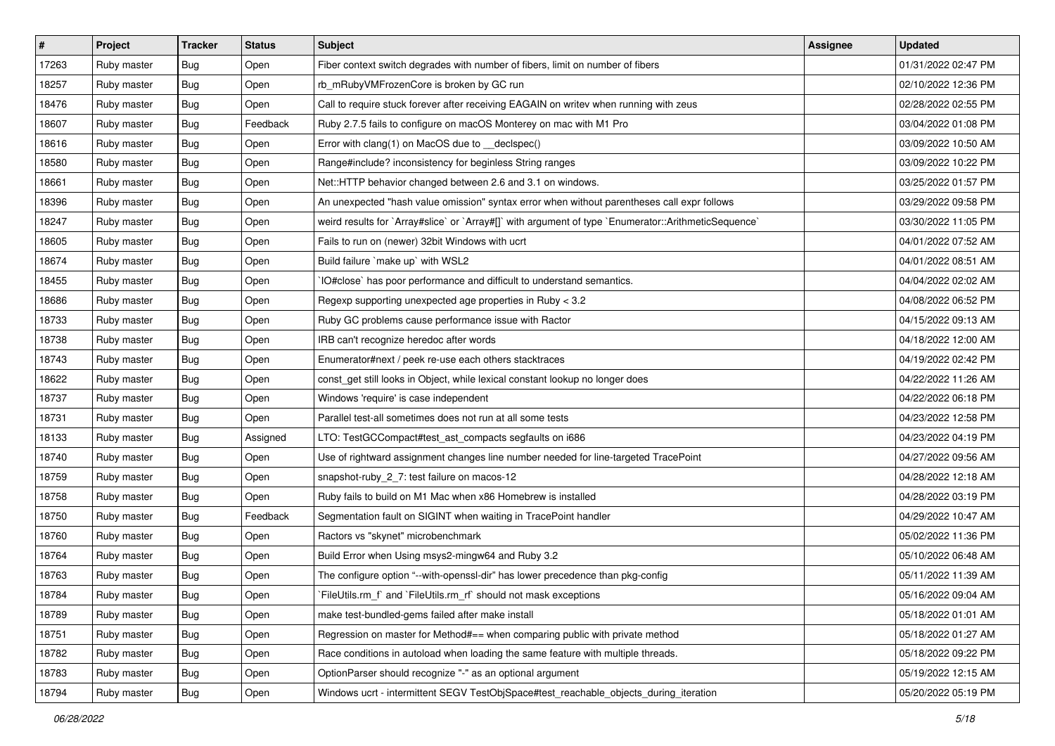| $\vert$ # | Project     | <b>Tracker</b> | <b>Status</b> | Subject                                                                                              | Assignee | <b>Updated</b>      |
|-----------|-------------|----------------|---------------|------------------------------------------------------------------------------------------------------|----------|---------------------|
| 17263     | Ruby master | <b>Bug</b>     | Open          | Fiber context switch degrades with number of fibers, limit on number of fibers                       |          | 01/31/2022 02:47 PM |
| 18257     | Ruby master | Bug            | Open          | rb_mRubyVMFrozenCore is broken by GC run                                                             |          | 02/10/2022 12:36 PM |
| 18476     | Ruby master | Bug            | Open          | Call to require stuck forever after receiving EAGAIN on writev when running with zeus                |          | 02/28/2022 02:55 PM |
| 18607     | Ruby master | Bug            | Feedback      | Ruby 2.7.5 fails to configure on macOS Monterey on mac with M1 Pro                                   |          | 03/04/2022 01:08 PM |
| 18616     | Ruby master | Bug            | Open          | Error with clang(1) on MacOS due to __declspec()                                                     |          | 03/09/2022 10:50 AM |
| 18580     | Ruby master | Bug            | Open          | Range#include? inconsistency for beginless String ranges                                             |          | 03/09/2022 10:22 PM |
| 18661     | Ruby master | Bug            | Open          | Net::HTTP behavior changed between 2.6 and 3.1 on windows.                                           |          | 03/25/2022 01:57 PM |
| 18396     | Ruby master | <b>Bug</b>     | Open          | An unexpected "hash value omission" syntax error when without parentheses call expr follows          |          | 03/29/2022 09:58 PM |
| 18247     | Ruby master | Bug            | Open          | weird results for `Array#slice` or `Array#[]` with argument of type `Enumerator::ArithmeticSequence` |          | 03/30/2022 11:05 PM |
| 18605     | Ruby master | Bug            | Open          | Fails to run on (newer) 32bit Windows with ucrt                                                      |          | 04/01/2022 07:52 AM |
| 18674     | Ruby master | Bug            | Open          | Build failure `make up` with WSL2                                                                    |          | 04/01/2022 08:51 AM |
| 18455     | Ruby master | Bug            | Open          | IO#close` has poor performance and difficult to understand semantics.                                |          | 04/04/2022 02:02 AM |
| 18686     | Ruby master | Bug            | Open          | Regexp supporting unexpected age properties in Ruby < 3.2                                            |          | 04/08/2022 06:52 PM |
| 18733     | Ruby master | Bug            | Open          | Ruby GC problems cause performance issue with Ractor                                                 |          | 04/15/2022 09:13 AM |
| 18738     | Ruby master | Bug            | Open          | IRB can't recognize heredoc after words                                                              |          | 04/18/2022 12:00 AM |
| 18743     | Ruby master | Bug            | Open          | Enumerator#next / peek re-use each others stacktraces                                                |          | 04/19/2022 02:42 PM |
| 18622     | Ruby master | Bug            | Open          | const_get still looks in Object, while lexical constant lookup no longer does                        |          | 04/22/2022 11:26 AM |
| 18737     | Ruby master | Bug            | Open          | Windows 'require' is case independent                                                                |          | 04/22/2022 06:18 PM |
| 18731     | Ruby master | Bug            | Open          | Parallel test-all sometimes does not run at all some tests                                           |          | 04/23/2022 12:58 PM |
| 18133     | Ruby master | Bug            | Assigned      | LTO: TestGCCompact#test_ast_compacts segfaults on i686                                               |          | 04/23/2022 04:19 PM |
| 18740     | Ruby master | Bug            | Open          | Use of rightward assignment changes line number needed for line-targeted TracePoint                  |          | 04/27/2022 09:56 AM |
| 18759     | Ruby master | Bug            | Open          | snapshot-ruby_2_7: test failure on macos-12                                                          |          | 04/28/2022 12:18 AM |
| 18758     | Ruby master | Bug            | Open          | Ruby fails to build on M1 Mac when x86 Homebrew is installed                                         |          | 04/28/2022 03:19 PM |
| 18750     | Ruby master | Bug            | Feedback      | Segmentation fault on SIGINT when waiting in TracePoint handler                                      |          | 04/29/2022 10:47 AM |
| 18760     | Ruby master | Bug            | Open          | Ractors vs "skynet" microbenchmark                                                                   |          | 05/02/2022 11:36 PM |
| 18764     | Ruby master | Bug            | Open          | Build Error when Using msys2-mingw64 and Ruby 3.2                                                    |          | 05/10/2022 06:48 AM |
| 18763     | Ruby master | Bug            | Open          | The configure option "--with-openssl-dir" has lower precedence than pkg-config                       |          | 05/11/2022 11:39 AM |
| 18784     | Ruby master | Bug            | Open          | `FileUtils.rm_f` and `FileUtils.rm_rf` should not mask exceptions                                    |          | 05/16/2022 09:04 AM |
| 18789     | Ruby master | Bug            | Open          | make test-bundled-gems failed after make install                                                     |          | 05/18/2022 01:01 AM |
| 18751     | Ruby master | Bug            | Open          | Regression on master for Method#== when comparing public with private method                         |          | 05/18/2022 01:27 AM |
| 18782     | Ruby master | <b>Bug</b>     | Open          | Race conditions in autoload when loading the same feature with multiple threads.                     |          | 05/18/2022 09:22 PM |
| 18783     | Ruby master | <b>Bug</b>     | Open          | OptionParser should recognize "-" as an optional argument                                            |          | 05/19/2022 12:15 AM |
| 18794     | Ruby master | Bug            | Open          | Windows ucrt - intermittent SEGV TestObjSpace#test_reachable_objects_during_iteration                |          | 05/20/2022 05:19 PM |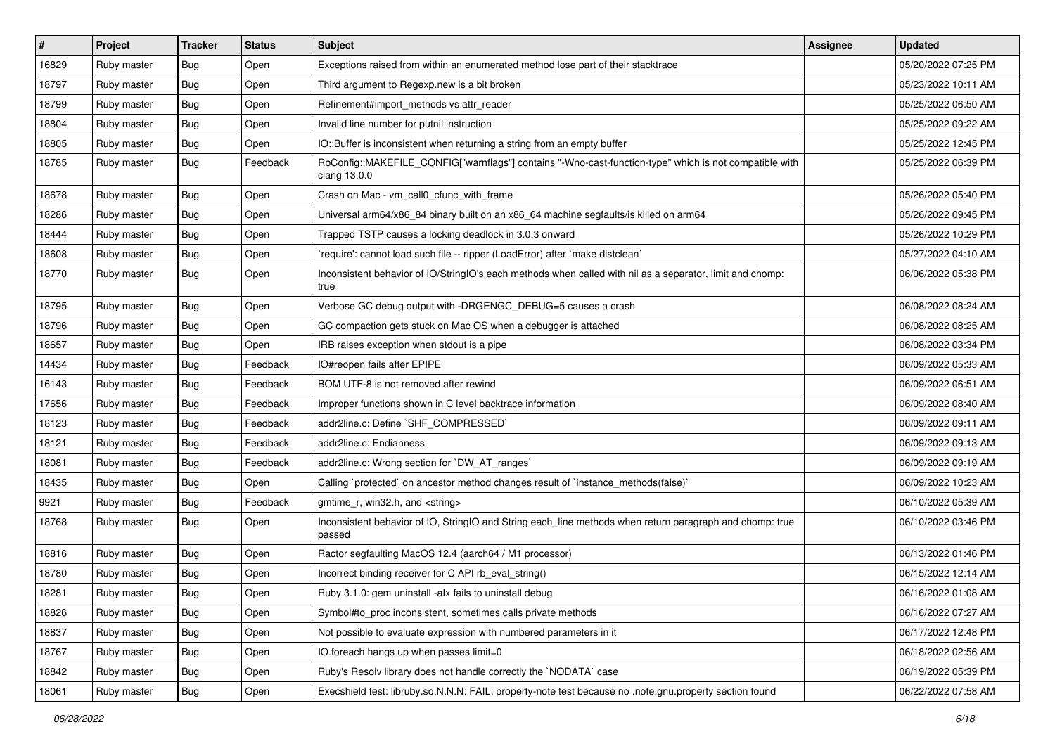| $\vert$ # | Project     | <b>Tracker</b> | <b>Status</b> | <b>Subject</b>                                                                                                         | Assignee | <b>Updated</b>      |
|-----------|-------------|----------------|---------------|------------------------------------------------------------------------------------------------------------------------|----------|---------------------|
| 16829     | Ruby master | Bug            | Open          | Exceptions raised from within an enumerated method lose part of their stacktrace                                       |          | 05/20/2022 07:25 PM |
| 18797     | Ruby master | Bug            | Open          | Third argument to Regexp.new is a bit broken                                                                           |          | 05/23/2022 10:11 AM |
| 18799     | Ruby master | <b>Bug</b>     | Open          | Refinement#import_methods vs attr_reader                                                                               |          | 05/25/2022 06:50 AM |
| 18804     | Ruby master | <b>Bug</b>     | Open          | Invalid line number for putnil instruction                                                                             |          | 05/25/2022 09:22 AM |
| 18805     | Ruby master | <b>Bug</b>     | Open          | IO::Buffer is inconsistent when returning a string from an empty buffer                                                |          | 05/25/2022 12:45 PM |
| 18785     | Ruby master | <b>Bug</b>     | Feedback      | RbConfig::MAKEFILE_CONFIG["warnflags"] contains "-Wno-cast-function-type" which is not compatible with<br>clang 13.0.0 |          | 05/25/2022 06:39 PM |
| 18678     | Ruby master | Bug            | Open          | Crash on Mac - vm_call0_cfunc_with_frame                                                                               |          | 05/26/2022 05:40 PM |
| 18286     | Ruby master | Bug            | Open          | Universal arm64/x86_84 binary built on an x86_64 machine segfaults/is killed on arm64                                  |          | 05/26/2022 09:45 PM |
| 18444     | Ruby master | <b>Bug</b>     | Open          | Trapped TSTP causes a locking deadlock in 3.0.3 onward                                                                 |          | 05/26/2022 10:29 PM |
| 18608     | Ruby master | <b>Bug</b>     | Open          | 'require': cannot load such file -- ripper (LoadError) after 'make distclean'                                          |          | 05/27/2022 04:10 AM |
| 18770     | Ruby master | Bug            | Open          | Inconsistent behavior of IO/StringIO's each methods when called with nil as a separator, limit and chomp:<br>true      |          | 06/06/2022 05:38 PM |
| 18795     | Ruby master | Bug            | Open          | Verbose GC debug output with -DRGENGC_DEBUG=5 causes a crash                                                           |          | 06/08/2022 08:24 AM |
| 18796     | Ruby master | <b>Bug</b>     | Open          | GC compaction gets stuck on Mac OS when a debugger is attached                                                         |          | 06/08/2022 08:25 AM |
| 18657     | Ruby master | Bug            | Open          | IRB raises exception when stdout is a pipe                                                                             |          | 06/08/2022 03:34 PM |
| 14434     | Ruby master | <b>Bug</b>     | Feedback      | IO#reopen fails after EPIPE                                                                                            |          | 06/09/2022 05:33 AM |
| 16143     | Ruby master | <b>Bug</b>     | Feedback      | BOM UTF-8 is not removed after rewind                                                                                  |          | 06/09/2022 06:51 AM |
| 17656     | Ruby master | <b>Bug</b>     | Feedback      | Improper functions shown in C level backtrace information                                                              |          | 06/09/2022 08:40 AM |
| 18123     | Ruby master | <b>Bug</b>     | Feedback      | addr2line.c: Define `SHF_COMPRESSED`                                                                                   |          | 06/09/2022 09:11 AM |
| 18121     | Ruby master | Bug            | Feedback      | addr2line.c: Endianness                                                                                                |          | 06/09/2022 09:13 AM |
| 18081     | Ruby master | <b>Bug</b>     | Feedback      | addr2line.c: Wrong section for `DW_AT_ranges`                                                                          |          | 06/09/2022 09:19 AM |
| 18435     | Ruby master | <b>Bug</b>     | Open          | Calling `protected` on ancestor method changes result of `instance_methods(false)`                                     |          | 06/09/2022 10:23 AM |
| 9921      | Ruby master | <b>Bug</b>     | Feedback      | gmtime r, win32.h, and <string></string>                                                                               |          | 06/10/2022 05:39 AM |
| 18768     | Ruby master | Bug            | Open          | Inconsistent behavior of IO, StringIO and String each_line methods when return paragraph and chomp: true<br>passed     |          | 06/10/2022 03:46 PM |
| 18816     | Ruby master | Bug            | Open          | Ractor segfaulting MacOS 12.4 (aarch64 / M1 processor)                                                                 |          | 06/13/2022 01:46 PM |
| 18780     | Ruby master | Bug            | Open          | Incorrect binding receiver for C API rb_eval_string()                                                                  |          | 06/15/2022 12:14 AM |
| 18281     | Ruby master | Bug            | Open          | Ruby 3.1.0: gem uninstall -alx fails to uninstall debug                                                                |          | 06/16/2022 01:08 AM |
| 18826     | Ruby master | Bug            | Open          | Symbol#to proc inconsistent, sometimes calls private methods                                                           |          | 06/16/2022 07:27 AM |
| 18837     | Ruby master | <b>Bug</b>     | Open          | Not possible to evaluate expression with numbered parameters in it                                                     |          | 06/17/2022 12:48 PM |
| 18767     | Ruby master | <b>Bug</b>     | Open          | IO.foreach hangs up when passes limit=0                                                                                |          | 06/18/2022 02:56 AM |
| 18842     | Ruby master | Bug            | Open          | Ruby's Resolv library does not handle correctly the `NODATA` case                                                      |          | 06/19/2022 05:39 PM |
| 18061     | Ruby master | <b>Bug</b>     | Open          | Execshield test: libruby.so.N.N.N: FAIL: property-note test because no .note.gnu.property section found                |          | 06/22/2022 07:58 AM |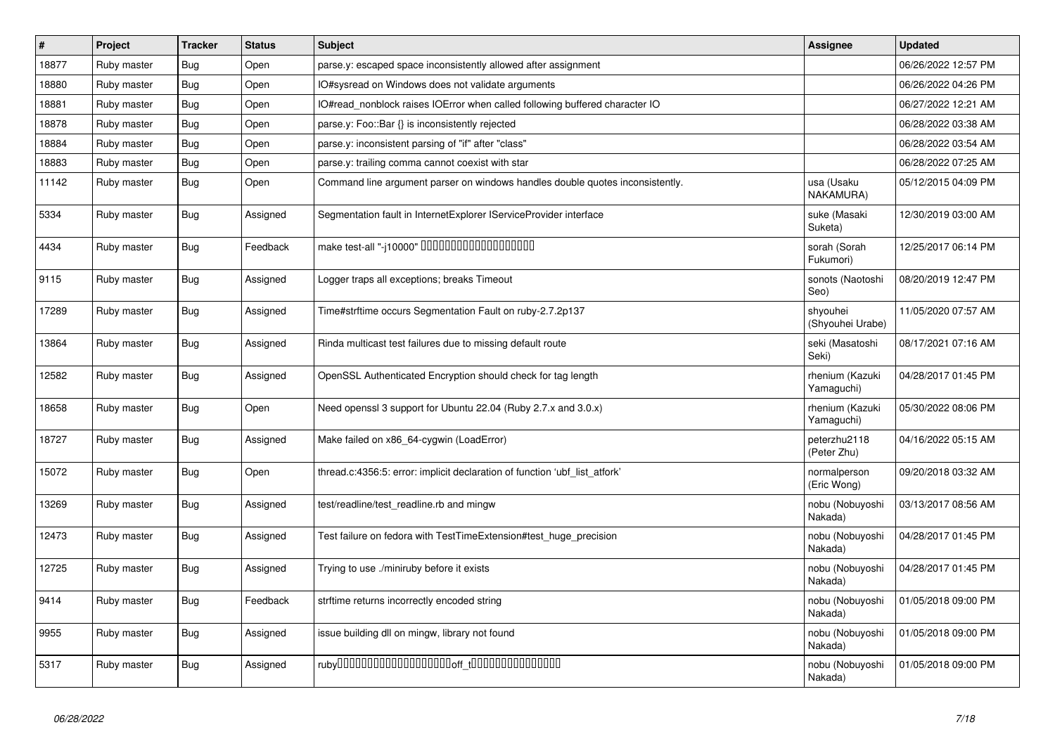| $\pmb{\#}$ | Project     | <b>Tracker</b> | <b>Status</b> | <b>Subject</b>                                                                | Assignee                      | <b>Updated</b>      |
|------------|-------------|----------------|---------------|-------------------------------------------------------------------------------|-------------------------------|---------------------|
| 18877      | Ruby master | Bug            | Open          | parse.y: escaped space inconsistently allowed after assignment                |                               | 06/26/2022 12:57 PM |
| 18880      | Ruby master | <b>Bug</b>     | Open          | IO#sysread on Windows does not validate arguments                             |                               | 06/26/2022 04:26 PM |
| 18881      | Ruby master | Bug            | Open          | IO#read_nonblock raises IOError when called following buffered character IO   |                               | 06/27/2022 12:21 AM |
| 18878      | Ruby master | Bug            | Open          | parse.y: Foo::Bar {} is inconsistently rejected                               |                               | 06/28/2022 03:38 AM |
| 18884      | Ruby master | Bug            | Open          | parse.y: inconsistent parsing of "if" after "class"                           |                               | 06/28/2022 03:54 AM |
| 18883      | Ruby master | <b>Bug</b>     | Open          | parse.y: trailing comma cannot coexist with star                              |                               | 06/28/2022 07:25 AM |
| 11142      | Ruby master | Bug            | Open          | Command line argument parser on windows handles double quotes inconsistently. | usa (Usaku<br>NAKAMURA)       | 05/12/2015 04:09 PM |
| 5334       | Ruby master | <b>Bug</b>     | Assigned      | Segmentation fault in InternetExplorer IServiceProvider interface             | suke (Masaki<br>Suketa)       | 12/30/2019 03:00 AM |
| 4434       | Ruby master | Bug            | Feedback      | make test-all "-j10000" 0000000000000000000                                   | sorah (Sorah<br>Fukumori)     | 12/25/2017 06:14 PM |
| 9115       | Ruby master | <b>Bug</b>     | Assigned      | Logger traps all exceptions; breaks Timeout                                   | sonots (Naotoshi<br>Seo)      | 08/20/2019 12:47 PM |
| 17289      | Ruby master | <b>Bug</b>     | Assigned      | Time#strftime occurs Segmentation Fault on ruby-2.7.2p137                     | shyouhei<br>(Shyouhei Urabe)  | 11/05/2020 07:57 AM |
| 13864      | Ruby master | <b>Bug</b>     | Assigned      | Rinda multicast test failures due to missing default route                    | seki (Masatoshi<br>Seki)      | 08/17/2021 07:16 AM |
| 12582      | Ruby master | <b>Bug</b>     | Assigned      | OpenSSL Authenticated Encryption should check for tag length                  | rhenium (Kazuki<br>Yamaguchi) | 04/28/2017 01:45 PM |
| 18658      | Ruby master | Bug            | Open          | Need openssl 3 support for Ubuntu 22.04 (Ruby 2.7.x and 3.0.x)                | rhenium (Kazuki<br>Yamaguchi) | 05/30/2022 08:06 PM |
| 18727      | Ruby master | <b>Bug</b>     | Assigned      | Make failed on x86_64-cygwin (LoadError)                                      | peterzhu2118<br>(Peter Zhu)   | 04/16/2022 05:15 AM |
| 15072      | Ruby master | Bug            | Open          | thread.c:4356:5: error: implicit declaration of function 'ubf list atfork'    | normalperson<br>(Eric Wong)   | 09/20/2018 03:32 AM |
| 13269      | Ruby master | <b>Bug</b>     | Assigned      | test/readline/test_readline.rb and mingw                                      | nobu (Nobuyoshi<br>Nakada)    | 03/13/2017 08:56 AM |
| 12473      | Ruby master | <b>Bug</b>     | Assigned      | Test failure on fedora with TestTimeExtension#test_huge_precision             | nobu (Nobuyoshi<br>Nakada)    | 04/28/2017 01:45 PM |
| 12725      | Ruby master | <b>Bug</b>     | Assigned      | Trying to use ./miniruby before it exists                                     | nobu (Nobuyoshi<br>Nakada)    | 04/28/2017 01:45 PM |
| 9414       | Ruby master | <b>Bug</b>     | Feedback      | strftime returns incorrectly encoded string                                   | nobu (Nobuyoshi<br>Nakada)    | 01/05/2018 09:00 PM |
| 9955       | Ruby master | Bug            | Assigned      | issue building dll on mingw, library not found                                | nobu (Nobuyoshi<br>Nakada)    | 01/05/2018 09:00 PM |
| 5317       | Ruby master | <b>Bug</b>     | Assigned      |                                                                               | nobu (Nobuyoshi<br>Nakada)    | 01/05/2018 09:00 PM |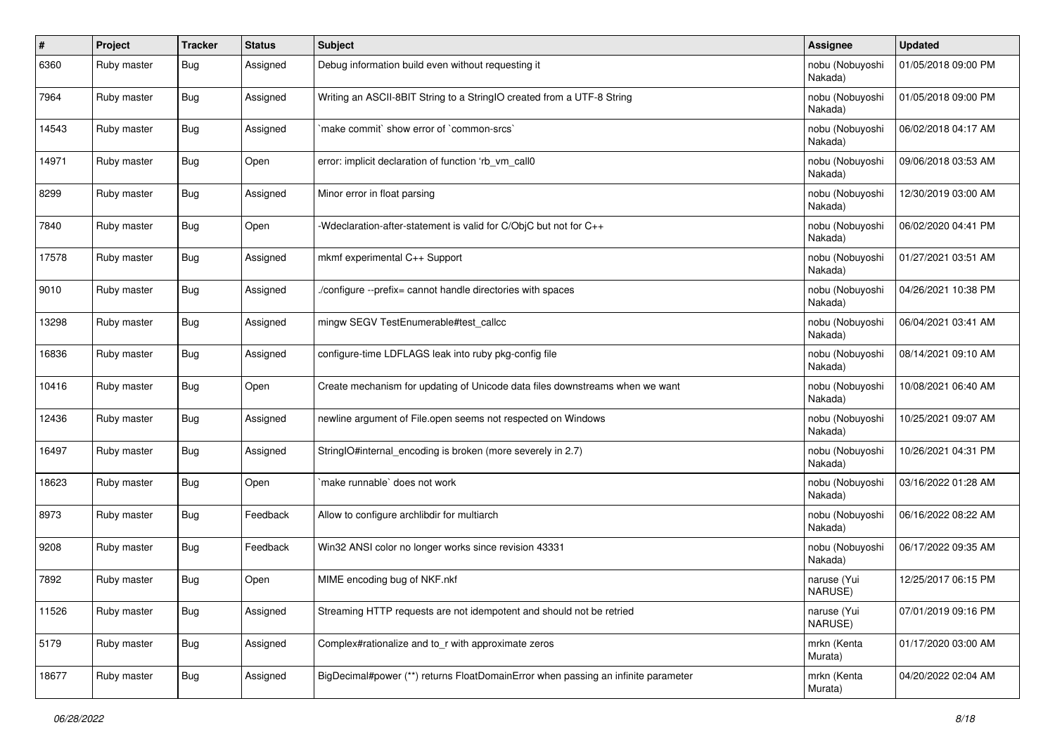| $\sharp$ | Project     | <b>Tracker</b> | <b>Status</b> | Subject                                                                           | Assignee                   | <b>Updated</b>      |
|----------|-------------|----------------|---------------|-----------------------------------------------------------------------------------|----------------------------|---------------------|
| 6360     | Ruby master | <b>Bug</b>     | Assigned      | Debug information build even without requesting it                                | nobu (Nobuyoshi<br>Nakada) | 01/05/2018 09:00 PM |
| 7964     | Ruby master | <b>Bug</b>     | Assigned      | Writing an ASCII-8BIT String to a StringIO created from a UTF-8 String            | nobu (Nobuyoshi<br>Nakada) | 01/05/2018 09:00 PM |
| 14543    | Ruby master | Bug            | Assigned      | 'make commit' show error of 'common-srcs'                                         | nobu (Nobuyoshi<br>Nakada) | 06/02/2018 04:17 AM |
| 14971    | Ruby master | Bug            | Open          | error: implicit declaration of function 'rb vm call0                              | nobu (Nobuyoshi<br>Nakada) | 09/06/2018 03:53 AM |
| 8299     | Ruby master | Bug            | Assigned      | Minor error in float parsing                                                      | nobu (Nobuyoshi<br>Nakada) | 12/30/2019 03:00 AM |
| 7840     | Ruby master | <b>Bug</b>     | Open          | -Wdeclaration-after-statement is valid for C/ObjC but not for C++                 | nobu (Nobuyoshi<br>Nakada) | 06/02/2020 04:41 PM |
| 17578    | Ruby master | Bug            | Assigned      | mkmf experimental C++ Support                                                     | nobu (Nobuyoshi<br>Nakada) | 01/27/2021 03:51 AM |
| 9010     | Ruby master | Bug            | Assigned      | ./configure --prefix= cannot handle directories with spaces                       | nobu (Nobuyoshi<br>Nakada) | 04/26/2021 10:38 PM |
| 13298    | Ruby master | <b>Bug</b>     | Assigned      | mingw SEGV TestEnumerable#test_callcc                                             | nobu (Nobuyoshi<br>Nakada) | 06/04/2021 03:41 AM |
| 16836    | Ruby master | Bug            | Assigned      | configure-time LDFLAGS leak into ruby pkg-config file                             | nobu (Nobuyoshi<br>Nakada) | 08/14/2021 09:10 AM |
| 10416    | Ruby master | Bug            | Open          | Create mechanism for updating of Unicode data files downstreams when we want      | nobu (Nobuyoshi<br>Nakada) | 10/08/2021 06:40 AM |
| 12436    | Ruby master | Bug            | Assigned      | newline argument of File.open seems not respected on Windows                      | nobu (Nobuyoshi<br>Nakada) | 10/25/2021 09:07 AM |
| 16497    | Ruby master | <b>Bug</b>     | Assigned      | StringIO#internal_encoding is broken (more severely in 2.7)                       | nobu (Nobuyoshi<br>Nakada) | 10/26/2021 04:31 PM |
| 18623    | Ruby master | <b>Bug</b>     | Open          | make runnable' does not work                                                      | nobu (Nobuyoshi<br>Nakada) | 03/16/2022 01:28 AM |
| 8973     | Ruby master | Bug            | Feedback      | Allow to configure archlibdir for multiarch                                       | nobu (Nobuyoshi<br>Nakada) | 06/16/2022 08:22 AM |
| 9208     | Ruby master | Bug            | Feedback      | Win32 ANSI color no longer works since revision 43331                             | nobu (Nobuyoshi<br>Nakada) | 06/17/2022 09:35 AM |
| 7892     | Ruby master | Bug            | Open          | MIME encoding bug of NKF.nkf                                                      | naruse (Yui<br>NARUSE)     | 12/25/2017 06:15 PM |
| 11526    | Ruby master | <b>Bug</b>     | Assigned      | Streaming HTTP requests are not idempotent and should not be retried              | naruse (Yui<br>NARUSE)     | 07/01/2019 09:16 PM |
| 5179     | Ruby master | <b>Bug</b>     | Assigned      | Complex#rationalize and to_r with approximate zeros                               | mrkn (Kenta<br>Murata)     | 01/17/2020 03:00 AM |
| 18677    | Ruby master | Bug            | Assigned      | BigDecimal#power (**) returns FloatDomainError when passing an infinite parameter | mrkn (Kenta<br>Murata)     | 04/20/2022 02:04 AM |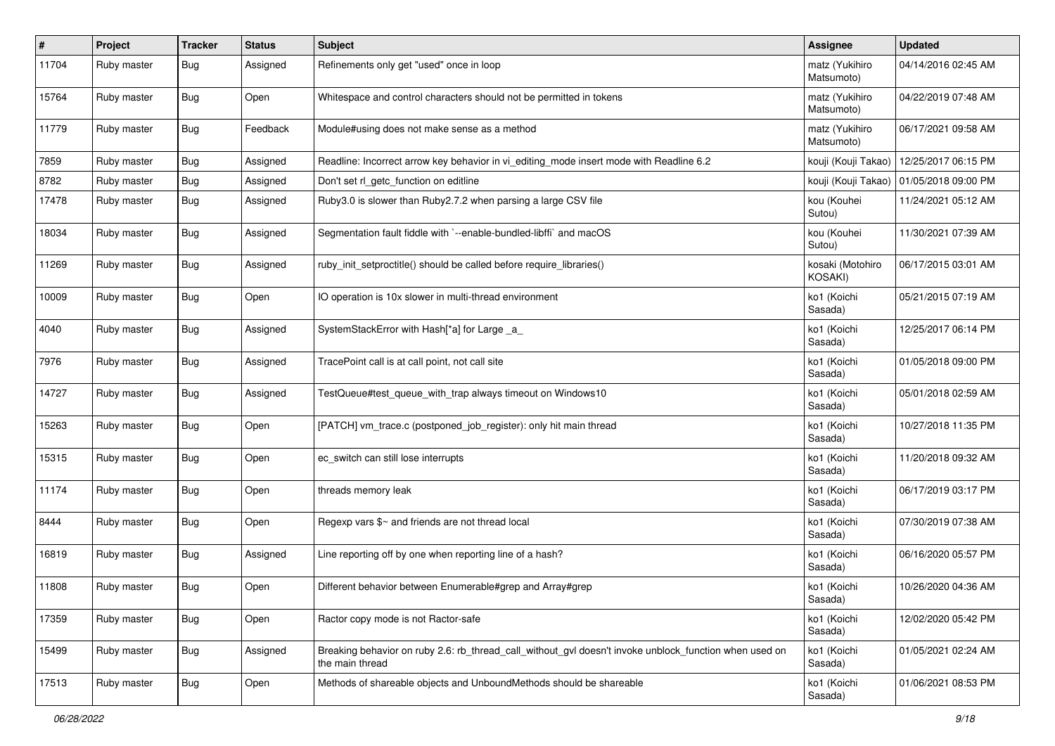| #     | Project     | <b>Tracker</b> | <b>Status</b> | <b>Subject</b>                                                                                                            | Assignee                     | <b>Updated</b>                            |
|-------|-------------|----------------|---------------|---------------------------------------------------------------------------------------------------------------------------|------------------------------|-------------------------------------------|
| 11704 | Ruby master | Bug            | Assigned      | Refinements only get "used" once in loop                                                                                  | matz (Yukihiro<br>Matsumoto) | 04/14/2016 02:45 AM                       |
| 15764 | Ruby master | <b>Bug</b>     | Open          | Whitespace and control characters should not be permitted in tokens                                                       | matz (Yukihiro<br>Matsumoto) | 04/22/2019 07:48 AM                       |
| 11779 | Ruby master | <b>Bug</b>     | Feedback      | Module#using does not make sense as a method                                                                              | matz (Yukihiro<br>Matsumoto) | 06/17/2021 09:58 AM                       |
| 7859  | Ruby master | Bug            | Assigned      | Readline: Incorrect arrow key behavior in vi_editing_mode insert mode with Readline 6.2                                   | kouji (Kouji Takao)          | 12/25/2017 06:15 PM                       |
| 8782  | Ruby master | <b>Bug</b>     | Assigned      | Don't set rl_getc_function on editline                                                                                    |                              | kouji (Kouji Takao)   01/05/2018 09:00 PM |
| 17478 | Ruby master | Bug            | Assigned      | Ruby3.0 is slower than Ruby2.7.2 when parsing a large CSV file                                                            | kou (Kouhei<br>Sutou)        | 11/24/2021 05:12 AM                       |
| 18034 | Ruby master | Bug            | Assigned      | Segmentation fault fiddle with `--enable-bundled-libffi` and macOS                                                        | kou (Kouhei<br>Sutou)        | 11/30/2021 07:39 AM                       |
| 11269 | Ruby master | Bug            | Assigned      | ruby_init_setproctitle() should be called before require_libraries()                                                      | kosaki (Motohiro<br>KOSAKI)  | 06/17/2015 03:01 AM                       |
| 10009 | Ruby master | <b>Bug</b>     | Open          | IO operation is 10x slower in multi-thread environment                                                                    | ko1 (Koichi<br>Sasada)       | 05/21/2015 07:19 AM                       |
| 4040  | Ruby master | Bug            | Assigned      | SystemStackError with Hash[*a] for Large _a_                                                                              | ko1 (Koichi<br>Sasada)       | 12/25/2017 06:14 PM                       |
| 7976  | Ruby master | <b>Bug</b>     | Assigned      | TracePoint call is at call point, not call site                                                                           | ko1 (Koichi<br>Sasada)       | 01/05/2018 09:00 PM                       |
| 14727 | Ruby master | Bug            | Assigned      | TestQueue#test_queue_with_trap always timeout on Windows10                                                                | ko1 (Koichi<br>Sasada)       | 05/01/2018 02:59 AM                       |
| 15263 | Ruby master | Bug            | Open          | [PATCH] vm_trace.c (postponed_job_register): only hit main thread                                                         | ko1 (Koichi<br>Sasada)       | 10/27/2018 11:35 PM                       |
| 15315 | Ruby master | <b>Bug</b>     | Open          | ec_switch can still lose interrupts                                                                                       | ko1 (Koichi<br>Sasada)       | 11/20/2018 09:32 AM                       |
| 11174 | Ruby master | Bug            | Open          | threads memory leak                                                                                                       | ko1 (Koichi<br>Sasada)       | 06/17/2019 03:17 PM                       |
| 8444  | Ruby master | Bug            | Open          | Regexp vars \$~ and friends are not thread local                                                                          | ko1 (Koichi<br>Sasada)       | 07/30/2019 07:38 AM                       |
| 16819 | Ruby master | <b>Bug</b>     | Assigned      | Line reporting off by one when reporting line of a hash?                                                                  | ko1 (Koichi<br>Sasada)       | 06/16/2020 05:57 PM                       |
| 11808 | Ruby master | Bug            | Open          | Different behavior between Enumerable#grep and Array#grep                                                                 | ko1 (Koichi<br>Sasada)       | 10/26/2020 04:36 AM                       |
| 17359 | Ruby master | <b>Bug</b>     | Open          | Ractor copy mode is not Ractor-safe                                                                                       | ko1 (Koichi<br>Sasada)       | 12/02/2020 05:42 PM                       |
| 15499 | Ruby master | <b>Bug</b>     | Assigned      | Breaking behavior on ruby 2.6: rb_thread_call_without_gvl doesn't invoke unblock_function when used on<br>the main thread | ko1 (Koichi<br>Sasada)       | 01/05/2021 02:24 AM                       |
| 17513 | Ruby master | <b>Bug</b>     | Open          | Methods of shareable objects and UnboundMethods should be shareable                                                       | ko1 (Koichi<br>Sasada)       | 01/06/2021 08:53 PM                       |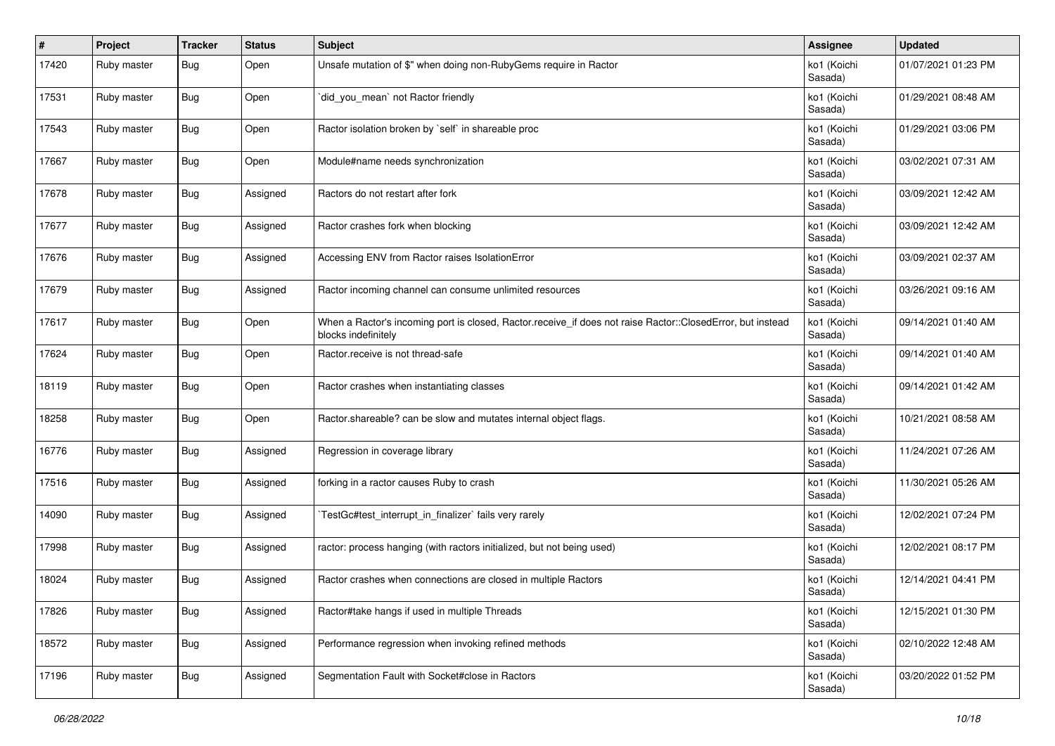| #     | Project     | <b>Tracker</b> | <b>Status</b> | <b>Subject</b>                                                                                                                    | Assignee               | <b>Updated</b>      |
|-------|-------------|----------------|---------------|-----------------------------------------------------------------------------------------------------------------------------------|------------------------|---------------------|
| 17420 | Ruby master | <b>Bug</b>     | Open          | Unsafe mutation of \$" when doing non-RubyGems require in Ractor                                                                  | ko1 (Koichi<br>Sasada) | 01/07/2021 01:23 PM |
| 17531 | Ruby master | <b>Bug</b>     | Open          | did_you_mean` not Ractor friendly                                                                                                 | ko1 (Koichi<br>Sasada) | 01/29/2021 08:48 AM |
| 17543 | Ruby master | Bug            | Open          | Ractor isolation broken by `self` in shareable proc                                                                               | ko1 (Koichi<br>Sasada) | 01/29/2021 03:06 PM |
| 17667 | Ruby master | Bug            | Open          | Module#name needs synchronization                                                                                                 | ko1 (Koichi<br>Sasada) | 03/02/2021 07:31 AM |
| 17678 | Ruby master | Bug            | Assigned      | Ractors do not restart after fork                                                                                                 | ko1 (Koichi<br>Sasada) | 03/09/2021 12:42 AM |
| 17677 | Ruby master | Bug            | Assigned      | Ractor crashes fork when blocking                                                                                                 | ko1 (Koichi<br>Sasada) | 03/09/2021 12:42 AM |
| 17676 | Ruby master | Bug            | Assigned      | Accessing ENV from Ractor raises IsolationError                                                                                   | ko1 (Koichi<br>Sasada) | 03/09/2021 02:37 AM |
| 17679 | Ruby master | Bug            | Assigned      | Ractor incoming channel can consume unlimited resources                                                                           | ko1 (Koichi<br>Sasada) | 03/26/2021 09:16 AM |
| 17617 | Ruby master | <b>Bug</b>     | Open          | When a Ractor's incoming port is closed, Ractor.receive_if does not raise Ractor::ClosedError, but instead<br>blocks indefinitely | ko1 (Koichi<br>Sasada) | 09/14/2021 01:40 AM |
| 17624 | Ruby master | Bug            | Open          | Ractor.receive is not thread-safe                                                                                                 | ko1 (Koichi<br>Sasada) | 09/14/2021 01:40 AM |
| 18119 | Ruby master | Bug            | Open          | Ractor crashes when instantiating classes                                                                                         | ko1 (Koichi<br>Sasada) | 09/14/2021 01:42 AM |
| 18258 | Ruby master | Bug            | Open          | Ractor shareable? can be slow and mutates internal object flags.                                                                  | ko1 (Koichi<br>Sasada) | 10/21/2021 08:58 AM |
| 16776 | Ruby master | Bug            | Assigned      | Regression in coverage library                                                                                                    | ko1 (Koichi<br>Sasada) | 11/24/2021 07:26 AM |
| 17516 | Ruby master | Bug            | Assigned      | forking in a ractor causes Ruby to crash                                                                                          | ko1 (Koichi<br>Sasada) | 11/30/2021 05:26 AM |
| 14090 | Ruby master | <b>Bug</b>     | Assigned      | TestGc#test_interrupt_in_finalizer` fails very rarely                                                                             | ko1 (Koichi<br>Sasada) | 12/02/2021 07:24 PM |
| 17998 | Ruby master | Bug            | Assigned      | ractor: process hanging (with ractors initialized, but not being used)                                                            | ko1 (Koichi<br>Sasada) | 12/02/2021 08:17 PM |
| 18024 | Ruby master | Bug            | Assigned      | Ractor crashes when connections are closed in multiple Ractors                                                                    | ko1 (Koichi<br>Sasada) | 12/14/2021 04:41 PM |
| 17826 | Ruby master | <b>Bug</b>     | Assigned      | Ractor#take hangs if used in multiple Threads                                                                                     | ko1 (Koichi<br>Sasada) | 12/15/2021 01:30 PM |
| 18572 | Ruby master | Bug            | Assigned      | Performance regression when invoking refined methods                                                                              | ko1 (Koichi<br>Sasada) | 02/10/2022 12:48 AM |
| 17196 | Ruby master | Bug            | Assigned      | Segmentation Fault with Socket#close in Ractors                                                                                   | ko1 (Koichi<br>Sasada) | 03/20/2022 01:52 PM |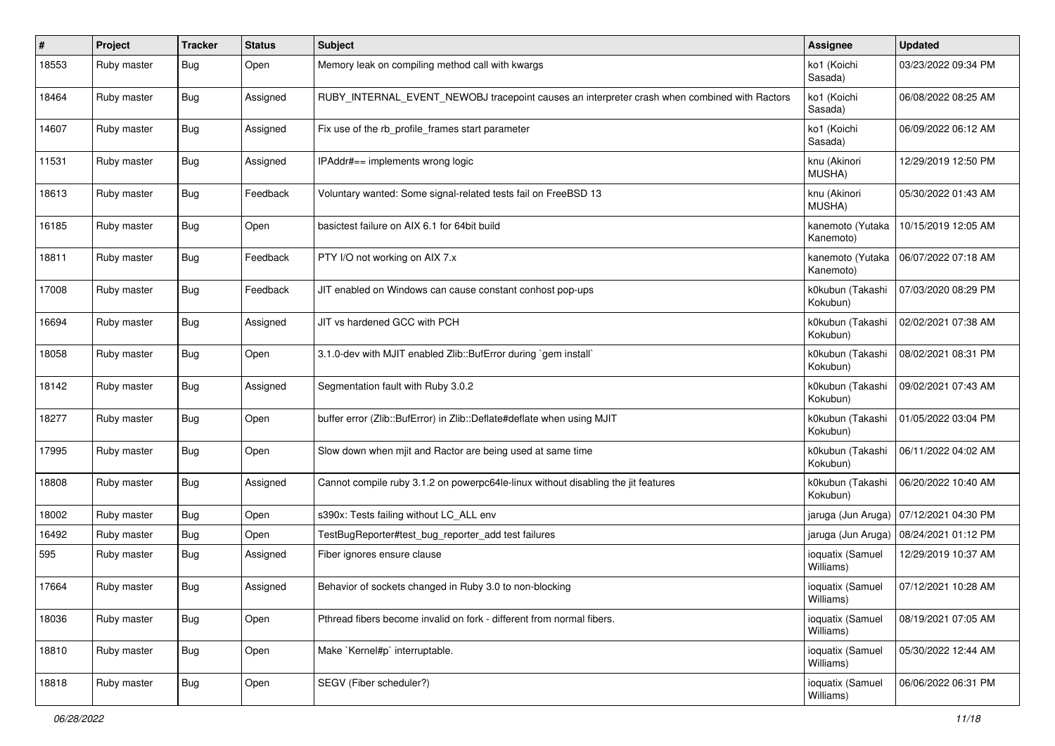| #     | Project     | <b>Tracker</b> | <b>Status</b> | <b>Subject</b>                                                                               | Assignee                      | <b>Updated</b>      |
|-------|-------------|----------------|---------------|----------------------------------------------------------------------------------------------|-------------------------------|---------------------|
| 18553 | Ruby master | Bug            | Open          | Memory leak on compiling method call with kwargs                                             | ko1 (Koichi<br>Sasada)        | 03/23/2022 09:34 PM |
| 18464 | Ruby master | <b>Bug</b>     | Assigned      | RUBY_INTERNAL_EVENT_NEWOBJ tracepoint causes an interpreter crash when combined with Ractors | ko1 (Koichi<br>Sasada)        | 06/08/2022 08:25 AM |
| 14607 | Ruby master | <b>Bug</b>     | Assigned      | Fix use of the rb_profile_frames start parameter                                             | ko1 (Koichi<br>Sasada)        | 06/09/2022 06:12 AM |
| 11531 | Ruby master | <b>Bug</b>     | Assigned      | IPAddr#== implements wrong logic                                                             | knu (Akinori<br>MUSHA)        | 12/29/2019 12:50 PM |
| 18613 | Ruby master | Bug            | Feedback      | Voluntary wanted: Some signal-related tests fail on FreeBSD 13                               | knu (Akinori<br>MUSHA)        | 05/30/2022 01:43 AM |
| 16185 | Ruby master | <b>Bug</b>     | Open          | basictest failure on AIX 6.1 for 64bit build                                                 | kanemoto (Yutaka<br>Kanemoto) | 10/15/2019 12:05 AM |
| 18811 | Ruby master | Bug            | Feedback      | PTY I/O not working on AIX 7.x                                                               | kanemoto (Yutaka<br>Kanemoto) | 06/07/2022 07:18 AM |
| 17008 | Ruby master | Bug            | Feedback      | JIT enabled on Windows can cause constant conhost pop-ups                                    | k0kubun (Takashi<br>Kokubun)  | 07/03/2020 08:29 PM |
| 16694 | Ruby master | <b>Bug</b>     | Assigned      | JIT vs hardened GCC with PCH                                                                 | k0kubun (Takashi<br>Kokubun)  | 02/02/2021 07:38 AM |
| 18058 | Ruby master | <b>Bug</b>     | Open          | 3.1.0-dev with MJIT enabled Zlib::BufError during `gem install`                              | k0kubun (Takashi<br>Kokubun)  | 08/02/2021 08:31 PM |
| 18142 | Ruby master | <b>Bug</b>     | Assigned      | Segmentation fault with Ruby 3.0.2                                                           | k0kubun (Takashi<br>Kokubun)  | 09/02/2021 07:43 AM |
| 18277 | Ruby master | <b>Bug</b>     | Open          | buffer error (Zlib::BufError) in Zlib::Deflate#deflate when using MJIT                       | k0kubun (Takashi<br>Kokubun)  | 01/05/2022 03:04 PM |
| 17995 | Ruby master | <b>Bug</b>     | Open          | Slow down when mjit and Ractor are being used at same time                                   | k0kubun (Takashi<br>Kokubun)  | 06/11/2022 04:02 AM |
| 18808 | Ruby master | <b>Bug</b>     | Assigned      | Cannot compile ruby 3.1.2 on powerpc64le-linux without disabling the jit features            | k0kubun (Takashi<br>Kokubun)  | 06/20/2022 10:40 AM |
| 18002 | Ruby master | Bug            | Open          | s390x: Tests failing without LC_ALL env                                                      | jaruga (Jun Aruga)            | 07/12/2021 04:30 PM |
| 16492 | Ruby master | Bug            | Open          | TestBugReporter#test_bug_reporter_add test failures                                          | jaruga (Jun Aruga)            | 08/24/2021 01:12 PM |
| 595   | Ruby master | Bug            | Assigned      | Fiber ignores ensure clause                                                                  | ioquatix (Samuel<br>Williams) | 12/29/2019 10:37 AM |
| 17664 | Ruby master | Bug            | Assigned      | Behavior of sockets changed in Ruby 3.0 to non-blocking                                      | ioquatix (Samuel<br>Williams) | 07/12/2021 10:28 AM |
| 18036 | Ruby master | <b>Bug</b>     | Open          | Pthread fibers become invalid on fork - different from normal fibers.                        | ioquatix (Samuel<br>Williams) | 08/19/2021 07:05 AM |
| 18810 | Ruby master | Bug            | Open          | Make `Kernel#p` interruptable.                                                               | ioquatix (Samuel<br>Williams) | 05/30/2022 12:44 AM |
| 18818 | Ruby master | Bug            | Open          | SEGV (Fiber scheduler?)                                                                      | ioquatix (Samuel<br>Williams) | 06/06/2022 06:31 PM |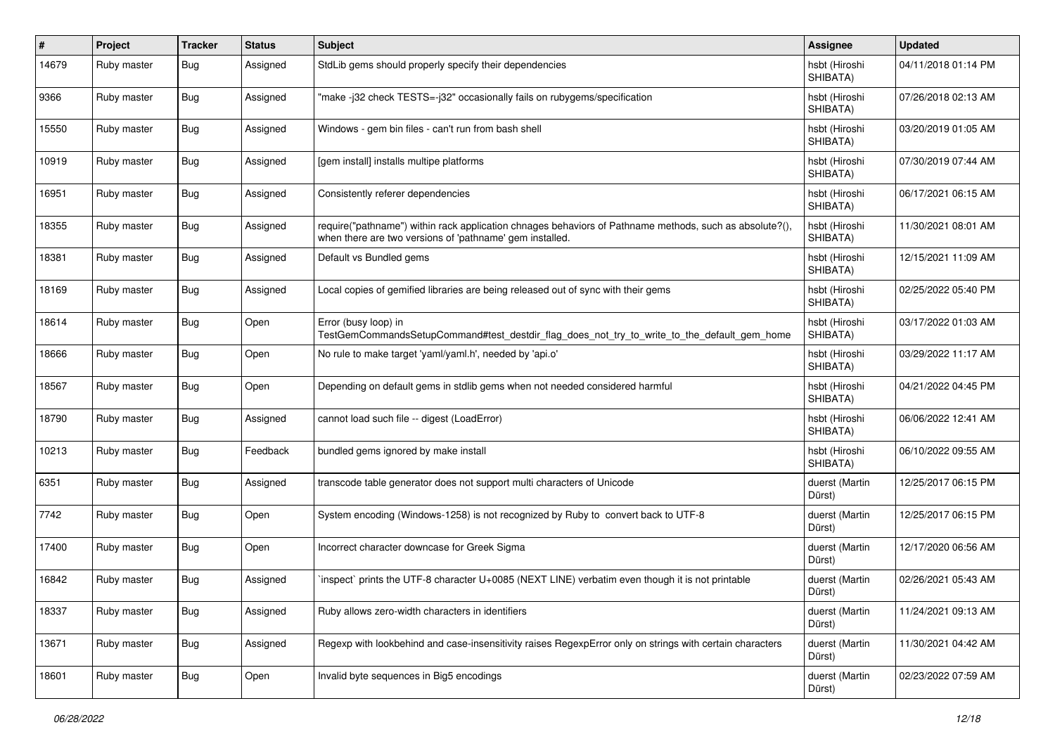| #     | Project     | <b>Tracker</b> | <b>Status</b> | <b>Subject</b>                                                                                                                                                      | Assignee                  | <b>Updated</b>      |
|-------|-------------|----------------|---------------|---------------------------------------------------------------------------------------------------------------------------------------------------------------------|---------------------------|---------------------|
| 14679 | Ruby master | Bug            | Assigned      | StdLib gems should properly specify their dependencies                                                                                                              | hsbt (Hiroshi<br>SHIBATA) | 04/11/2018 01:14 PM |
| 9366  | Ruby master | <b>Bug</b>     | Assigned      | "make-i32 check TESTS=-i32" occasionally fails on rubygems/specification                                                                                            | hsbt (Hiroshi<br>SHIBATA) | 07/26/2018 02:13 AM |
| 15550 | Ruby master | <b>Bug</b>     | Assigned      | Windows - gem bin files - can't run from bash shell                                                                                                                 | hsbt (Hiroshi<br>SHIBATA) | 03/20/2019 01:05 AM |
| 10919 | Ruby master | Bug            | Assigned      | [gem install] installs multipe platforms                                                                                                                            | hsbt (Hiroshi<br>SHIBATA) | 07/30/2019 07:44 AM |
| 16951 | Ruby master | <b>Bug</b>     | Assigned      | Consistently referer dependencies                                                                                                                                   | hsbt (Hiroshi<br>SHIBATA) | 06/17/2021 06:15 AM |
| 18355 | Ruby master | <b>Bug</b>     | Assigned      | require("pathname") within rack application chnages behaviors of Pathname methods, such as absolute?(),<br>when there are two versions of 'pathname' gem installed. | hsbt (Hiroshi<br>SHIBATA) | 11/30/2021 08:01 AM |
| 18381 | Ruby master | <b>Bug</b>     | Assigned      | Default vs Bundled gems                                                                                                                                             | hsbt (Hiroshi<br>SHIBATA) | 12/15/2021 11:09 AM |
| 18169 | Ruby master | Bug            | Assigned      | Local copies of gemified libraries are being released out of sync with their gems                                                                                   | hsbt (Hiroshi<br>SHIBATA) | 02/25/2022 05:40 PM |
| 18614 | Ruby master | <b>Bug</b>     | Open          | Error (busy loop) in<br>TestGemCommandsSetupCommand#test_destdir_flag_does_not_try_to_write_to_the_default_gem_home                                                 | hsbt (Hiroshi<br>SHIBATA) | 03/17/2022 01:03 AM |
| 18666 | Ruby master | <b>Bug</b>     | Open          | No rule to make target 'yaml/yaml.h', needed by 'api.o'                                                                                                             | hsbt (Hiroshi<br>SHIBATA) | 03/29/2022 11:17 AM |
| 18567 | Ruby master | <b>Bug</b>     | Open          | Depending on default gems in stdlib gems when not needed considered harmful                                                                                         | hsbt (Hiroshi<br>SHIBATA) | 04/21/2022 04:45 PM |
| 18790 | Ruby master | Bug            | Assigned      | cannot load such file -- digest (LoadError)                                                                                                                         | hsbt (Hiroshi<br>SHIBATA) | 06/06/2022 12:41 AM |
| 10213 | Ruby master | <b>Bug</b>     | Feedback      | bundled gems ignored by make install                                                                                                                                | hsbt (Hiroshi<br>SHIBATA) | 06/10/2022 09:55 AM |
| 6351  | Ruby master | <b>Bug</b>     | Assigned      | transcode table generator does not support multi characters of Unicode                                                                                              | duerst (Martin<br>Dürst)  | 12/25/2017 06:15 PM |
| 7742  | Ruby master | Bug            | Open          | System encoding (Windows-1258) is not recognized by Ruby to convert back to UTF-8                                                                                   | duerst (Martin<br>Dürst)  | 12/25/2017 06:15 PM |
| 17400 | Ruby master | <b>Bug</b>     | Open          | Incorrect character downcase for Greek Sigma                                                                                                                        | duerst (Martin<br>Dürst)  | 12/17/2020 06:56 AM |
| 16842 | Ruby master | <b>Bug</b>     | Assigned      | inspect` prints the UTF-8 character U+0085 (NEXT LINE) verbatim even though it is not printable                                                                     | duerst (Martin<br>Dürst)  | 02/26/2021 05:43 AM |
| 18337 | Ruby master | <b>Bug</b>     | Assigned      | Ruby allows zero-width characters in identifiers                                                                                                                    | duerst (Martin<br>Dürst)  | 11/24/2021 09:13 AM |
| 13671 | Ruby master | Bug            | Assigned      | Regexp with lookbehind and case-insensitivity raises RegexpError only on strings with certain characters                                                            | duerst (Martin<br>Dürst)  | 11/30/2021 04:42 AM |
| 18601 | Ruby master | <b>Bug</b>     | Open          | Invalid byte sequences in Big5 encodings                                                                                                                            | duerst (Martin<br>Dürst)  | 02/23/2022 07:59 AM |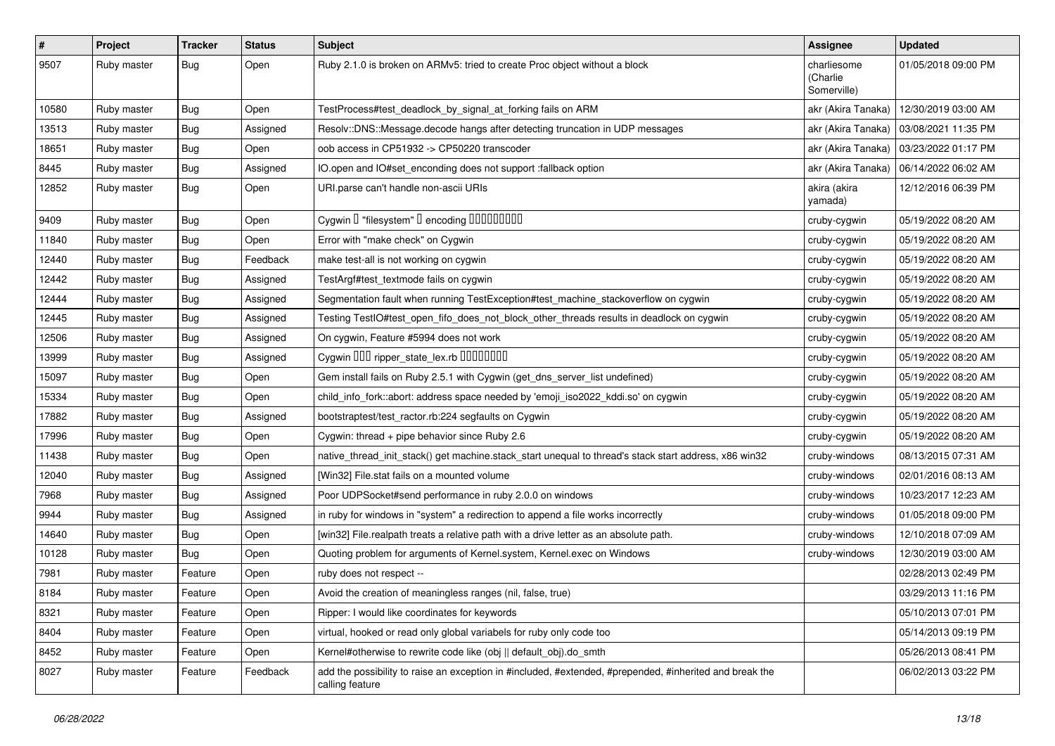| $\vert$ # | Project     | <b>Tracker</b> | <b>Status</b> | <b>Subject</b>                                                                                                             | Assignee                               | <b>Updated</b>      |
|-----------|-------------|----------------|---------------|----------------------------------------------------------------------------------------------------------------------------|----------------------------------------|---------------------|
| 9507      | Ruby master | Bug            | Open          | Ruby 2.1.0 is broken on ARMv5: tried to create Proc object without a block                                                 | charliesome<br>(Charlie<br>Somerville) | 01/05/2018 09:00 PM |
| 10580     | Ruby master | <b>Bug</b>     | Open          | TestProcess#test_deadlock_by_signal_at_forking fails on ARM                                                                | akr (Akira Tanaka)                     | 12/30/2019 03:00 AM |
| 13513     | Ruby master | Bug            | Assigned      | Resolv::DNS::Message.decode hangs after detecting truncation in UDP messages                                               | akr (Akira Tanaka)                     | 03/08/2021 11:35 PM |
| 18651     | Ruby master | Bug            | Open          | oob access in CP51932 -> CP50220 transcoder                                                                                | akr (Akira Tanaka)                     | 03/23/2022 01:17 PM |
| 8445      | Ruby master | <b>Bug</b>     | Assigned      | IO.open and IO#set_enconding does not support :fallback option                                                             | akr (Akira Tanaka)                     | 06/14/2022 06:02 AM |
| 12852     | Ruby master | Bug            | Open          | URI.parse can't handle non-ascii URIs                                                                                      | akira (akira<br>yamada)                | 12/12/2016 06:39 PM |
| 9409      | Ruby master | <b>Bug</b>     | Open          | Cygwin I "filesystem" I encoding IIIIIIIIIIIII                                                                             | cruby-cygwin                           | 05/19/2022 08:20 AM |
| 11840     | Ruby master | Bug            | Open          | Error with "make check" on Cygwin                                                                                          | cruby-cygwin                           | 05/19/2022 08:20 AM |
| 12440     | Ruby master | Bug            | Feedback      | make test-all is not working on cygwin                                                                                     | cruby-cygwin                           | 05/19/2022 08:20 AM |
| 12442     | Ruby master | Bug            | Assigned      | TestArgf#test_textmode fails on cygwin                                                                                     | cruby-cygwin                           | 05/19/2022 08:20 AM |
| 12444     | Ruby master | Bug            | Assigned      | Segmentation fault when running TestException#test_machine_stackoverflow on cygwin                                         | cruby-cygwin                           | 05/19/2022 08:20 AM |
| 12445     | Ruby master | <b>Bug</b>     | Assigned      | Testing TestIO#test_open_fifo_does_not_block_other_threads results in deadlock on cygwin                                   | cruby-cygwin                           | 05/19/2022 08:20 AM |
| 12506     | Ruby master | <b>Bug</b>     | Assigned      | On cygwin, Feature #5994 does not work                                                                                     | cruby-cygwin                           | 05/19/2022 08:20 AM |
| 13999     | Ruby master | Bug            | Assigned      | Cygwin DDD ripper_state_lex.rb DDDDDDDD                                                                                    | cruby-cygwin                           | 05/19/2022 08:20 AM |
| 15097     | Ruby master | Bug            | Open          | Gem install fails on Ruby 2.5.1 with Cygwin (get_dns_server_list undefined)                                                | cruby-cygwin                           | 05/19/2022 08:20 AM |
| 15334     | Ruby master | Bug            | Open          | child_info_fork::abort: address space needed by 'emoji_iso2022_kddi.so' on cygwin                                          | cruby-cygwin                           | 05/19/2022 08:20 AM |
| 17882     | Ruby master | <b>Bug</b>     | Assigned      | bootstraptest/test_ractor.rb:224 segfaults on Cygwin                                                                       | cruby-cygwin                           | 05/19/2022 08:20 AM |
| 17996     | Ruby master | Bug            | Open          | Cygwin: thread + pipe behavior since Ruby 2.6                                                                              | cruby-cygwin                           | 05/19/2022 08:20 AM |
| 11438     | Ruby master | Bug            | Open          | native_thread_init_stack() get machine.stack_start unequal to thread's stack start address, x86 win32                      | cruby-windows                          | 08/13/2015 07:31 AM |
| 12040     | Ruby master | Bug            | Assigned      | [Win32] File.stat fails on a mounted volume                                                                                | cruby-windows                          | 02/01/2016 08:13 AM |
| 7968      | Ruby master | Bug            | Assigned      | Poor UDPSocket#send performance in ruby 2.0.0 on windows                                                                   | cruby-windows                          | 10/23/2017 12:23 AM |
| 9944      | Ruby master | Bug            | Assigned      | in ruby for windows in "system" a redirection to append a file works incorrectly                                           | cruby-windows                          | 01/05/2018 09:00 PM |
| 14640     | Ruby master | <b>Bug</b>     | Open          | [win32] File.realpath treats a relative path with a drive letter as an absolute path.                                      | cruby-windows                          | 12/10/2018 07:09 AM |
| 10128     | Ruby master | Bug            | Open          | Quoting problem for arguments of Kernel.system, Kernel.exec on Windows                                                     | cruby-windows                          | 12/30/2019 03:00 AM |
| 7981      | Ruby master | Feature        | Open          | ruby does not respect --                                                                                                   |                                        | 02/28/2013 02:49 PM |
| 8184      | Ruby master | Feature        | Open          | Avoid the creation of meaningless ranges (nil, false, true)                                                                |                                        | 03/29/2013 11:16 PM |
| 8321      | Ruby master | Feature        | Open          | Ripper: I would like coordinates for keywords                                                                              |                                        | 05/10/2013 07:01 PM |
| 8404      | Ruby master | Feature        | Open          | virtual, hooked or read only global variabels for ruby only code too                                                       |                                        | 05/14/2013 09:19 PM |
| 8452      | Ruby master | Feature        | Open          | Kernel#otherwise to rewrite code like (obj    default obj).do smth                                                         |                                        | 05/26/2013 08:41 PM |
| 8027      | Ruby master | Feature        | Feedback      | add the possibility to raise an exception in #included, #extended, #prepended, #inherited and break the<br>calling feature |                                        | 06/02/2013 03:22 PM |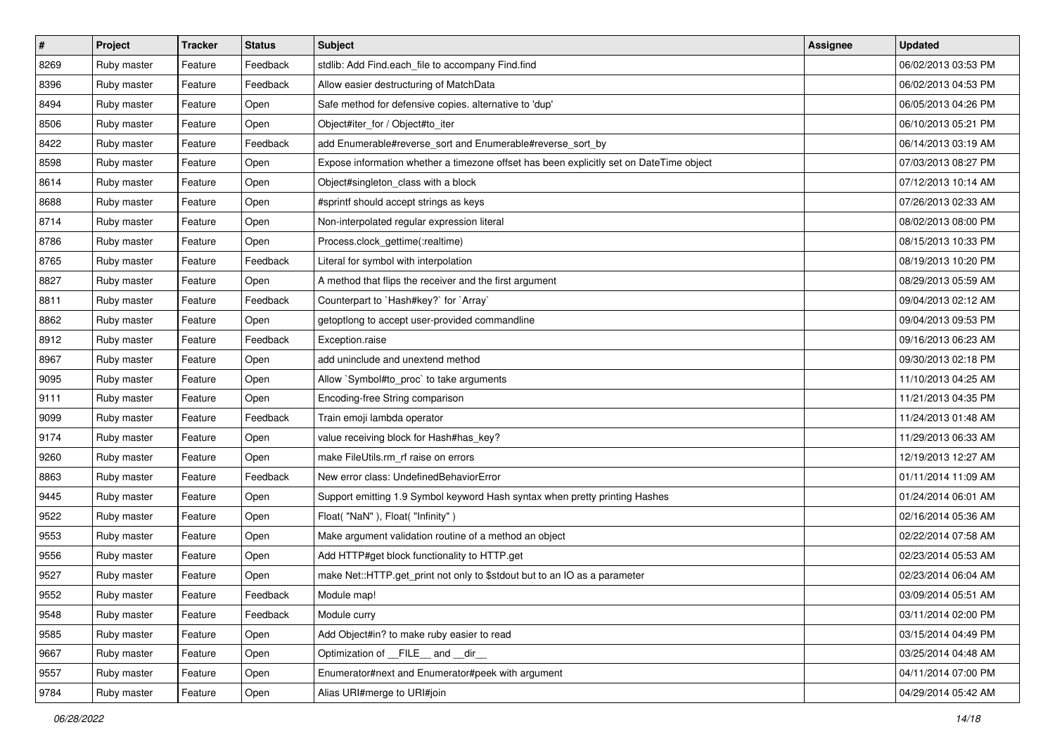| $\pmb{\#}$ | Project     | <b>Tracker</b> | <b>Status</b> | <b>Subject</b>                                                                          | <b>Assignee</b> | <b>Updated</b>      |
|------------|-------------|----------------|---------------|-----------------------------------------------------------------------------------------|-----------------|---------------------|
| 8269       | Ruby master | Feature        | Feedback      | stdlib: Add Find.each file to accompany Find.find                                       |                 | 06/02/2013 03:53 PM |
| 8396       | Ruby master | Feature        | Feedback      | Allow easier destructuring of MatchData                                                 |                 | 06/02/2013 04:53 PM |
| 8494       | Ruby master | Feature        | Open          | Safe method for defensive copies. alternative to 'dup'                                  |                 | 06/05/2013 04:26 PM |
| 8506       | Ruby master | Feature        | Open          | Object#iter_for / Object#to_iter                                                        |                 | 06/10/2013 05:21 PM |
| 8422       | Ruby master | Feature        | Feedback      | add Enumerable#reverse_sort and Enumerable#reverse_sort_by                              |                 | 06/14/2013 03:19 AM |
| 8598       | Ruby master | Feature        | Open          | Expose information whether a timezone offset has been explicitly set on DateTime object |                 | 07/03/2013 08:27 PM |
| 8614       | Ruby master | Feature        | Open          | Object#singleton_class with a block                                                     |                 | 07/12/2013 10:14 AM |
| 8688       | Ruby master | Feature        | Open          | #sprintf should accept strings as keys                                                  |                 | 07/26/2013 02:33 AM |
| 8714       | Ruby master | Feature        | Open          | Non-interpolated regular expression literal                                             |                 | 08/02/2013 08:00 PM |
| 8786       | Ruby master | Feature        | Open          | Process.clock_gettime(:realtime)                                                        |                 | 08/15/2013 10:33 PM |
| 8765       | Ruby master | Feature        | Feedback      | Literal for symbol with interpolation                                                   |                 | 08/19/2013 10:20 PM |
| 8827       | Ruby master | Feature        | Open          | A method that flips the receiver and the first argument                                 |                 | 08/29/2013 05:59 AM |
| 8811       | Ruby master | Feature        | Feedback      | Counterpart to `Hash#key?` for `Array`                                                  |                 | 09/04/2013 02:12 AM |
| 8862       | Ruby master | Feature        | Open          | getoptlong to accept user-provided commandline                                          |                 | 09/04/2013 09:53 PM |
| 8912       | Ruby master | Feature        | Feedback      | Exception.raise                                                                         |                 | 09/16/2013 06:23 AM |
| 8967       | Ruby master | Feature        | Open          | add uninclude and unextend method                                                       |                 | 09/30/2013 02:18 PM |
| 9095       | Ruby master | Feature        | Open          | Allow `Symbol#to_proc` to take arguments                                                |                 | 11/10/2013 04:25 AM |
| 9111       | Ruby master | Feature        | Open          | Encoding-free String comparison                                                         |                 | 11/21/2013 04:35 PM |
| 9099       | Ruby master | Feature        | Feedback      | Train emoji lambda operator                                                             |                 | 11/24/2013 01:48 AM |
| 9174       | Ruby master | Feature        | Open          | value receiving block for Hash#has_key?                                                 |                 | 11/29/2013 06:33 AM |
| 9260       | Ruby master | Feature        | Open          | make FileUtils.rm rf raise on errors                                                    |                 | 12/19/2013 12:27 AM |
| 8863       | Ruby master | Feature        | Feedback      | New error class: UndefinedBehaviorError                                                 |                 | 01/11/2014 11:09 AM |
| 9445       | Ruby master | Feature        | Open          | Support emitting 1.9 Symbol keyword Hash syntax when pretty printing Hashes             |                 | 01/24/2014 06:01 AM |
| 9522       | Ruby master | Feature        | Open          | Float("NaN"), Float("Infinity")                                                         |                 | 02/16/2014 05:36 AM |
| 9553       | Ruby master | Feature        | Open          | Make argument validation routine of a method an object                                  |                 | 02/22/2014 07:58 AM |
| 9556       | Ruby master | Feature        | Open          | Add HTTP#get block functionality to HTTP.get                                            |                 | 02/23/2014 05:53 AM |
| 9527       | Ruby master | Feature        | Open          | make Net::HTTP.get_print not only to \$stdout but to an IO as a parameter               |                 | 02/23/2014 06:04 AM |
| 9552       | Ruby master | Feature        | Feedback      | Module map!                                                                             |                 | 03/09/2014 05:51 AM |
| 9548       | Ruby master | Feature        | Feedback      | Module curry                                                                            |                 | 03/11/2014 02:00 PM |
| 9585       | Ruby master | Feature        | Open          | Add Object#in? to make ruby easier to read                                              |                 | 03/15/2014 04:49 PM |
| 9667       | Ruby master | Feature        | Open          | Optimization of __FILE__ and __dir__                                                    |                 | 03/25/2014 04:48 AM |
| 9557       | Ruby master | Feature        | Open          | Enumerator#next and Enumerator#peek with argument                                       |                 | 04/11/2014 07:00 PM |
| 9784       | Ruby master | Feature        | Open          | Alias URI#merge to URI#join                                                             |                 | 04/29/2014 05:42 AM |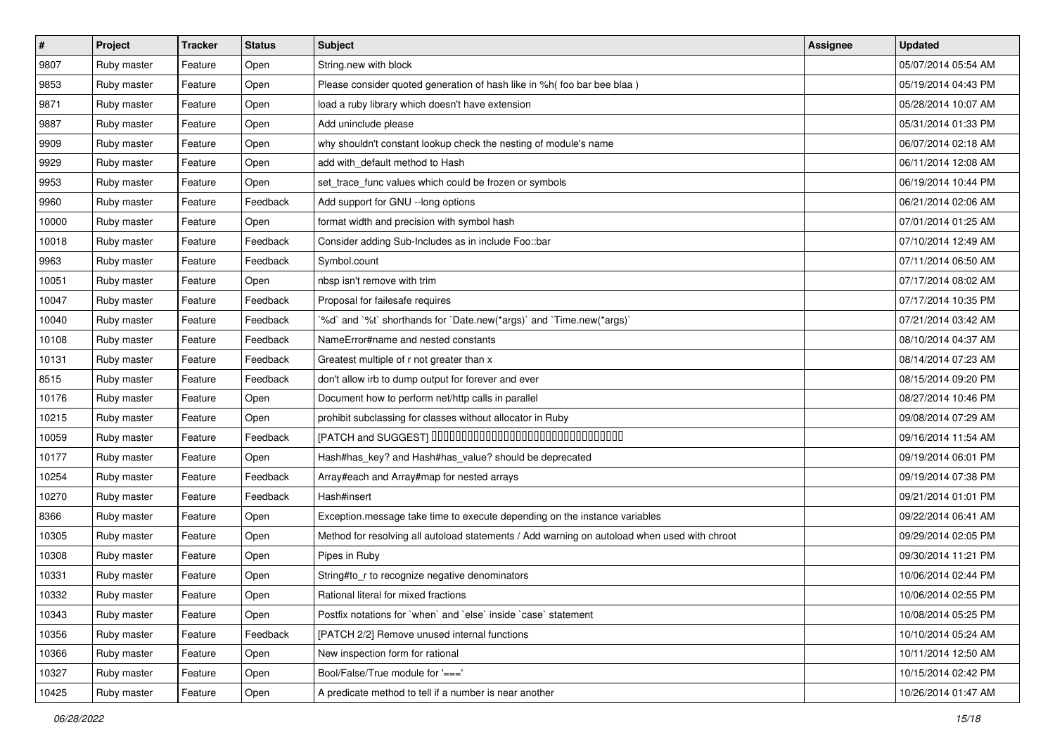| $\vert$ # | Project     | <b>Tracker</b> | <b>Status</b> | <b>Subject</b>                                                                               | <b>Assignee</b> | <b>Updated</b>      |
|-----------|-------------|----------------|---------------|----------------------------------------------------------------------------------------------|-----------------|---------------------|
| 9807      | Ruby master | Feature        | Open          | String.new with block                                                                        |                 | 05/07/2014 05:54 AM |
| 9853      | Ruby master | Feature        | Open          | Please consider quoted generation of hash like in %h( foo bar bee blaa )                     |                 | 05/19/2014 04:43 PM |
| 9871      | Ruby master | Feature        | Open          | load a ruby library which doesn't have extension                                             |                 | 05/28/2014 10:07 AM |
| 9887      | Ruby master | Feature        | Open          | Add uninclude please                                                                         |                 | 05/31/2014 01:33 PM |
| 9909      | Ruby master | Feature        | Open          | why shouldn't constant lookup check the nesting of module's name                             |                 | 06/07/2014 02:18 AM |
| 9929      | Ruby master | Feature        | Open          | add with default method to Hash                                                              |                 | 06/11/2014 12:08 AM |
| 9953      | Ruby master | Feature        | Open          | set_trace_func values which could be frozen or symbols                                       |                 | 06/19/2014 10:44 PM |
| 9960      | Ruby master | Feature        | Feedback      | Add support for GNU --long options                                                           |                 | 06/21/2014 02:06 AM |
| 10000     | Ruby master | Feature        | Open          | format width and precision with symbol hash                                                  |                 | 07/01/2014 01:25 AM |
| 10018     | Ruby master | Feature        | Feedback      | Consider adding Sub-Includes as in include Foo::bar                                          |                 | 07/10/2014 12:49 AM |
| 9963      | Ruby master | Feature        | Feedback      | Symbol.count                                                                                 |                 | 07/11/2014 06:50 AM |
| 10051     | Ruby master | Feature        | Open          | nbsp isn't remove with trim                                                                  |                 | 07/17/2014 08:02 AM |
| 10047     | Ruby master | Feature        | Feedback      | Proposal for failesafe requires                                                              |                 | 07/17/2014 10:35 PM |
| 10040     | Ruby master | Feature        | Feedback      | '%d' and '%t' shorthands for 'Date.new(*args)' and 'Time.new(*args)'                         |                 | 07/21/2014 03:42 AM |
| 10108     | Ruby master | Feature        | Feedback      | NameError#name and nested constants                                                          |                 | 08/10/2014 04:37 AM |
| 10131     | Ruby master | Feature        | Feedback      | Greatest multiple of r not greater than x                                                    |                 | 08/14/2014 07:23 AM |
| 8515      | Ruby master | Feature        | Feedback      | don't allow irb to dump output for forever and ever                                          |                 | 08/15/2014 09:20 PM |
| 10176     | Ruby master | Feature        | Open          | Document how to perform net/http calls in parallel                                           |                 | 08/27/2014 10:46 PM |
| 10215     | Ruby master | Feature        | Open          | prohibit subclassing for classes without allocator in Ruby                                   |                 | 09/08/2014 07:29 AM |
| 10059     | Ruby master | Feature        | Feedback      | [PATCH and SUGGEST] 0000000000000000000000000000000                                          |                 | 09/16/2014 11:54 AM |
| 10177     | Ruby master | Feature        | Open          | Hash#has_key? and Hash#has_value? should be deprecated                                       |                 | 09/19/2014 06:01 PM |
| 10254     | Ruby master | Feature        | Feedback      | Array#each and Array#map for nested arrays                                                   |                 | 09/19/2014 07:38 PM |
| 10270     | Ruby master | Feature        | Feedback      | Hash#insert                                                                                  |                 | 09/21/2014 01:01 PM |
| 8366      | Ruby master | Feature        | Open          | Exception.message take time to execute depending on the instance variables                   |                 | 09/22/2014 06:41 AM |
| 10305     | Ruby master | Feature        | Open          | Method for resolving all autoload statements / Add warning on autoload when used with chroot |                 | 09/29/2014 02:05 PM |
| 10308     | Ruby master | Feature        | Open          | Pipes in Ruby                                                                                |                 | 09/30/2014 11:21 PM |
| 10331     | Ruby master | Feature        | Open          | String#to_r to recognize negative denominators                                               |                 | 10/06/2014 02:44 PM |
| 10332     | Ruby master | Feature        | Open          | Rational literal for mixed fractions                                                         |                 | 10/06/2014 02:55 PM |
| 10343     | Ruby master | Feature        | Open          | Postfix notations for 'when' and 'else' inside 'case' statement                              |                 | 10/08/2014 05:25 PM |
| 10356     | Ruby master | Feature        | Feedback      | [PATCH 2/2] Remove unused internal functions                                                 |                 | 10/10/2014 05:24 AM |
| 10366     | Ruby master | Feature        | Open          | New inspection form for rational                                                             |                 | 10/11/2014 12:50 AM |
| 10327     | Ruby master | Feature        | Open          | Bool/False/True module for '==='                                                             |                 | 10/15/2014 02:42 PM |
| 10425     | Ruby master | Feature        | Open          | A predicate method to tell if a number is near another                                       |                 | 10/26/2014 01:47 AM |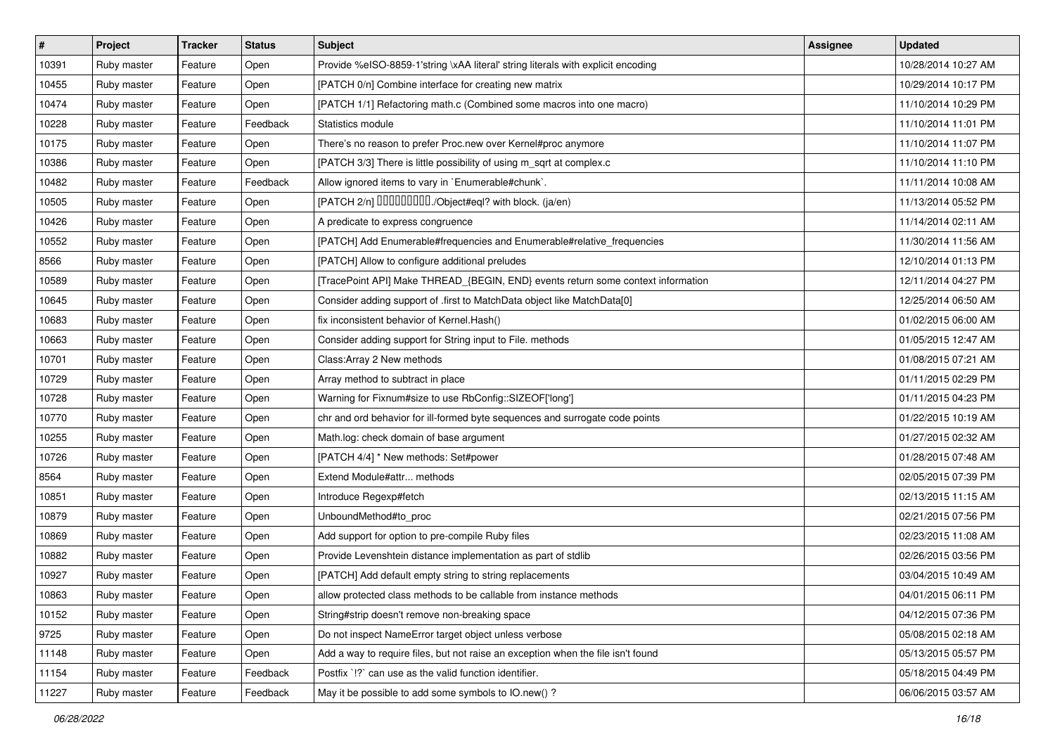| $\vert$ # | Project     | <b>Tracker</b> | <b>Status</b> | <b>Subject</b>                                                                   | Assignee | <b>Updated</b>      |
|-----------|-------------|----------------|---------------|----------------------------------------------------------------------------------|----------|---------------------|
| 10391     | Ruby master | Feature        | Open          | Provide %eISO-8859-1'string \xAA literal' string literals with explicit encoding |          | 10/28/2014 10:27 AM |
| 10455     | Ruby master | Feature        | Open          | [PATCH 0/n] Combine interface for creating new matrix                            |          | 10/29/2014 10:17 PM |
| 10474     | Ruby master | Feature        | Open          | [PATCH 1/1] Refactoring math.c (Combined some macros into one macro)             |          | 11/10/2014 10:29 PM |
| 10228     | Ruby master | Feature        | Feedback      | Statistics module                                                                |          | 11/10/2014 11:01 PM |
| 10175     | Ruby master | Feature        | Open          | There's no reason to prefer Proc.new over Kernel#proc anymore                    |          | 11/10/2014 11:07 PM |
| 10386     | Ruby master | Feature        | Open          | [PATCH 3/3] There is little possibility of using m_sqrt at complex.c             |          | 11/10/2014 11:10 PM |
| 10482     | Ruby master | Feature        | Feedback      | Allow ignored items to vary in `Enumerable#chunk`.                               |          | 11/11/2014 10:08 AM |
| 10505     | Ruby master | Feature        | Open          | [PATCH 2/n] DDDDDDDD./Object#eql? with block. (ja/en)                            |          | 11/13/2014 05:52 PM |
| 10426     | Ruby master | Feature        | Open          | A predicate to express congruence                                                |          | 11/14/2014 02:11 AM |
| 10552     | Ruby master | Feature        | Open          | [PATCH] Add Enumerable#frequencies and Enumerable#relative_frequencies           |          | 11/30/2014 11:56 AM |
| 8566      | Ruby master | Feature        | Open          | [PATCH] Allow to configure additional preludes                                   |          | 12/10/2014 01:13 PM |
| 10589     | Ruby master | Feature        | Open          | [TracePoint API] Make THREAD_{BEGIN, END} events return some context information |          | 12/11/2014 04:27 PM |
| 10645     | Ruby master | Feature        | Open          | Consider adding support of .first to MatchData object like MatchData[0]          |          | 12/25/2014 06:50 AM |
| 10683     | Ruby master | Feature        | Open          | fix inconsistent behavior of Kernel.Hash()                                       |          | 01/02/2015 06:00 AM |
| 10663     | Ruby master | Feature        | Open          | Consider adding support for String input to File. methods                        |          | 01/05/2015 12:47 AM |
| 10701     | Ruby master | Feature        | Open          | Class: Array 2 New methods                                                       |          | 01/08/2015 07:21 AM |
| 10729     | Ruby master | Feature        | Open          | Array method to subtract in place                                                |          | 01/11/2015 02:29 PM |
| 10728     | Ruby master | Feature        | Open          | Warning for Fixnum#size to use RbConfig::SIZEOF['long']                          |          | 01/11/2015 04:23 PM |
| 10770     | Ruby master | Feature        | Open          | chr and ord behavior for ill-formed byte sequences and surrogate code points     |          | 01/22/2015 10:19 AM |
| 10255     | Ruby master | Feature        | Open          | Math.log: check domain of base argument                                          |          | 01/27/2015 02:32 AM |
| 10726     | Ruby master | Feature        | Open          | [PATCH 4/4] * New methods: Set#power                                             |          | 01/28/2015 07:48 AM |
| 8564      | Ruby master | Feature        | Open          | Extend Module#attr methods                                                       |          | 02/05/2015 07:39 PM |
| 10851     | Ruby master | Feature        | Open          | Introduce Regexp#fetch                                                           |          | 02/13/2015 11:15 AM |
| 10879     | Ruby master | Feature        | Open          | UnboundMethod#to_proc                                                            |          | 02/21/2015 07:56 PM |
| 10869     | Ruby master | Feature        | Open          | Add support for option to pre-compile Ruby files                                 |          | 02/23/2015 11:08 AM |
| 10882     | Ruby master | Feature        | Open          | Provide Levenshtein distance implementation as part of stdlib                    |          | 02/26/2015 03:56 PM |
| 10927     | Ruby master | Feature        | Open          | [PATCH] Add default empty string to string replacements                          |          | 03/04/2015 10:49 AM |
| 10863     | Ruby master | Feature        | Open          | allow protected class methods to be callable from instance methods               |          | 04/01/2015 06:11 PM |
| 10152     | Ruby master | Feature        | Open          | String#strip doesn't remove non-breaking space                                   |          | 04/12/2015 07:36 PM |
| 9725      | Ruby master | Feature        | Open          | Do not inspect NameError target object unless verbose                            |          | 05/08/2015 02:18 AM |
| 11148     | Ruby master | Feature        | Open          | Add a way to require files, but not raise an exception when the file isn't found |          | 05/13/2015 05:57 PM |
| 11154     | Ruby master | Feature        | Feedback      | Postfix '!?' can use as the valid function identifier.                           |          | 05/18/2015 04:49 PM |
| 11227     | Ruby master | Feature        | Feedback      | May it be possible to add some symbols to IO.new() ?                             |          | 06/06/2015 03:57 AM |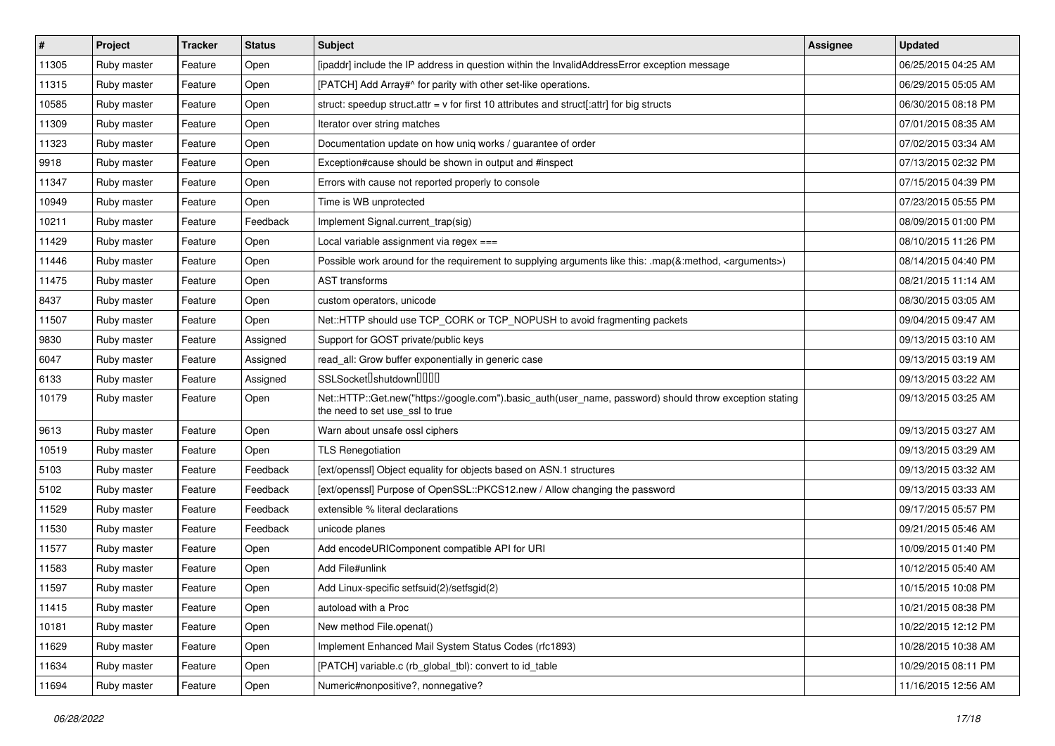| $\vert$ # | Project     | <b>Tracker</b> | <b>Status</b> | <b>Subject</b>                                                                                                                             | Assignee | <b>Updated</b>      |
|-----------|-------------|----------------|---------------|--------------------------------------------------------------------------------------------------------------------------------------------|----------|---------------------|
| 11305     | Ruby master | Feature        | Open          | [ipaddr] include the IP address in question within the InvalidAddressError exception message                                               |          | 06/25/2015 04:25 AM |
| 11315     | Ruby master | Feature        | Open          | [PATCH] Add Array#^ for parity with other set-like operations.                                                                             |          | 06/29/2015 05:05 AM |
| 10585     | Ruby master | Feature        | Open          | struct: speedup struct.attr = v for first 10 attributes and struct[:attr] for big structs                                                  |          | 06/30/2015 08:18 PM |
| 11309     | Ruby master | Feature        | Open          | Iterator over string matches                                                                                                               |          | 07/01/2015 08:35 AM |
| 11323     | Ruby master | Feature        | Open          | Documentation update on how uniq works / guarantee of order                                                                                |          | 07/02/2015 03:34 AM |
| 9918      | Ruby master | Feature        | Open          | Exception#cause should be shown in output and #inspect                                                                                     |          | 07/13/2015 02:32 PM |
| 11347     | Ruby master | Feature        | Open          | Errors with cause not reported properly to console                                                                                         |          | 07/15/2015 04:39 PM |
| 10949     | Ruby master | Feature        | Open          | Time is WB unprotected                                                                                                                     |          | 07/23/2015 05:55 PM |
| 10211     | Ruby master | Feature        | Feedback      | Implement Signal.current_trap(sig)                                                                                                         |          | 08/09/2015 01:00 PM |
| 11429     | Ruby master | Feature        | Open          | Local variable assignment via regex ===                                                                                                    |          | 08/10/2015 11:26 PM |
| 11446     | Ruby master | Feature        | Open          | Possible work around for the requirement to supplying arguments like this: .map(&:method, <arguments>)</arguments>                         |          | 08/14/2015 04:40 PM |
| 11475     | Ruby master | Feature        | Open          | <b>AST</b> transforms                                                                                                                      |          | 08/21/2015 11:14 AM |
| 8437      | Ruby master | Feature        | Open          | custom operators, unicode                                                                                                                  |          | 08/30/2015 03:05 AM |
| 11507     | Ruby master | Feature        | Open          | Net::HTTP should use TCP_CORK or TCP_NOPUSH to avoid fragmenting packets                                                                   |          | 09/04/2015 09:47 AM |
| 9830      | Ruby master | Feature        | Assigned      | Support for GOST private/public keys                                                                                                       |          | 09/13/2015 03:10 AM |
| 6047      | Ruby master | Feature        | Assigned      | read_all: Grow buffer exponentially in generic case                                                                                        |          | 09/13/2015 03:19 AM |
| 6133      | Ruby master | Feature        | Assigned      | SSLSocketlshutdownllllll                                                                                                                   |          | 09/13/2015 03:22 AM |
| 10179     | Ruby master | Feature        | Open          | Net::HTTP::Get.new("https://google.com").basic_auth(user_name, password) should throw exception stating<br>the need to set use_ssl to true |          | 09/13/2015 03:25 AM |
| 9613      | Ruby master | Feature        | Open          | Warn about unsafe ossl ciphers                                                                                                             |          | 09/13/2015 03:27 AM |
| 10519     | Ruby master | Feature        | Open          | <b>TLS Renegotiation</b>                                                                                                                   |          | 09/13/2015 03:29 AM |
| 5103      | Ruby master | Feature        | Feedback      | [ext/openssl] Object equality for objects based on ASN.1 structures                                                                        |          | 09/13/2015 03:32 AM |
| 5102      | Ruby master | Feature        | Feedback      | [ext/openssl] Purpose of OpenSSL::PKCS12.new / Allow changing the password                                                                 |          | 09/13/2015 03:33 AM |
| 11529     | Ruby master | Feature        | Feedback      | extensible % literal declarations                                                                                                          |          | 09/17/2015 05:57 PM |
| 11530     | Ruby master | Feature        | Feedback      | unicode planes                                                                                                                             |          | 09/21/2015 05:46 AM |
| 11577     | Ruby master | Feature        | Open          | Add encodeURIComponent compatible API for URI                                                                                              |          | 10/09/2015 01:40 PM |
| 11583     | Ruby master | Feature        | Open          | Add File#unlink                                                                                                                            |          | 10/12/2015 05:40 AM |
| 11597     | Ruby master | Feature        | Open          | Add Linux-specific setfsuid(2)/setfsgid(2)                                                                                                 |          | 10/15/2015 10:08 PM |
| 11415     | Ruby master | Feature        | Open          | autoload with a Proc                                                                                                                       |          | 10/21/2015 08:38 PM |
| 10181     | Ruby master | Feature        | Open          | New method File.openat()                                                                                                                   |          | 10/22/2015 12:12 PM |
| 11629     | Ruby master | Feature        | Open          | Implement Enhanced Mail System Status Codes (rfc1893)                                                                                      |          | 10/28/2015 10:38 AM |
| 11634     | Ruby master | Feature        | Open          | [PATCH] variable.c (rb global tbl): convert to id table                                                                                    |          | 10/29/2015 08:11 PM |
| 11694     | Ruby master | Feature        | Open          | Numeric#nonpositive?, nonnegative?                                                                                                         |          | 11/16/2015 12:56 AM |